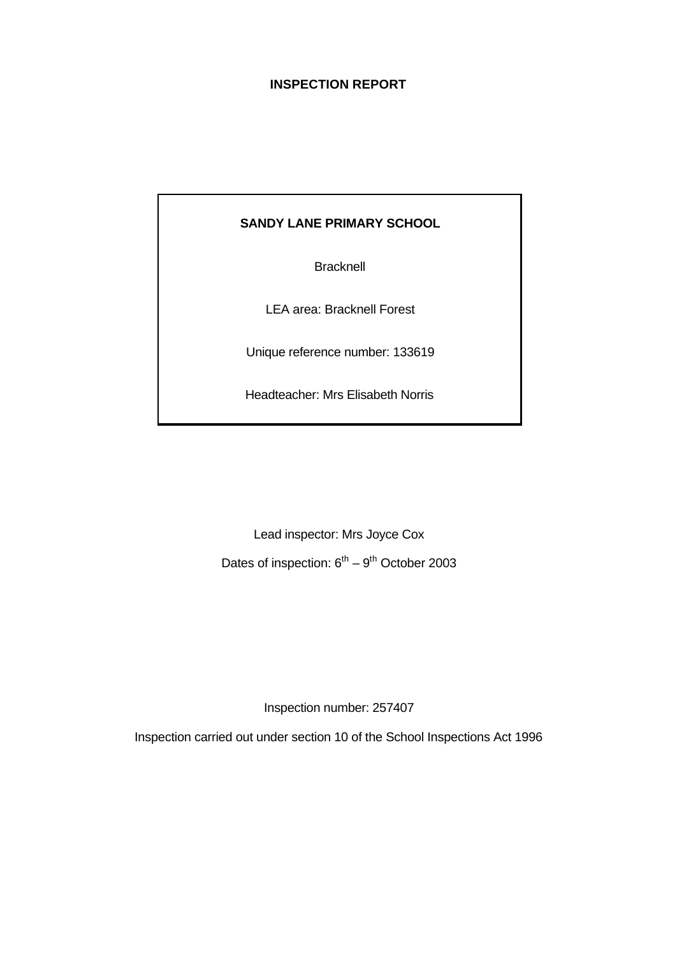# **INSPECTION REPORT**

# **SANDY LANE PRIMARY SCHOOL**

**Bracknell** 

LEA area: Bracknell Forest

Unique reference number: 133619

Headteacher: Mrs Elisabeth Norris

Lead inspector: Mrs Joyce Cox

Dates of inspection:  $6^{th} - 9^{th}$  October 2003

Inspection number: 257407

Inspection carried out under section 10 of the School Inspections Act 1996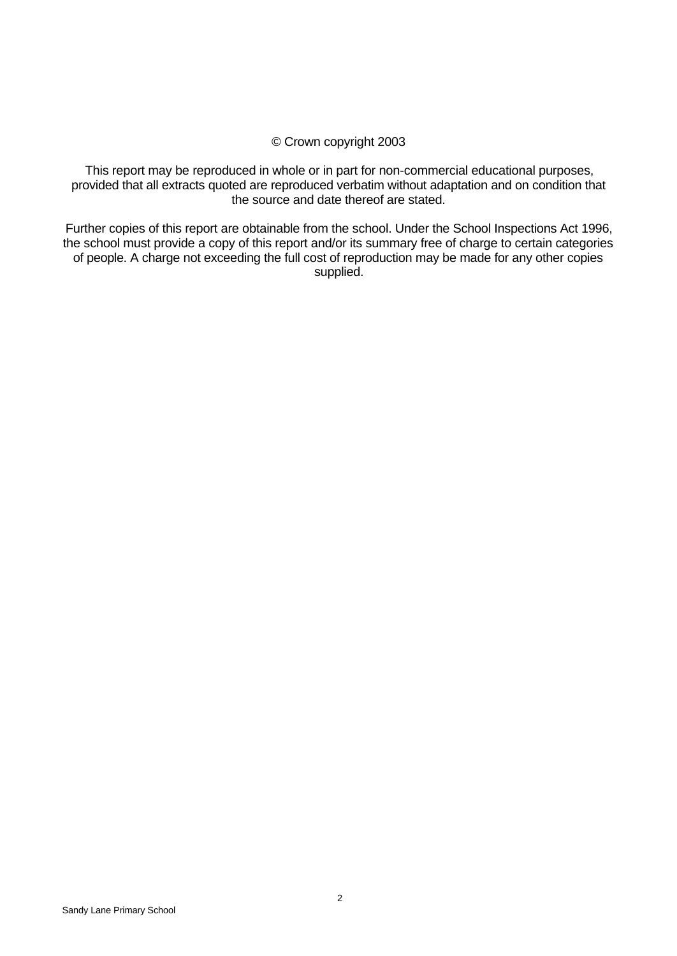#### © Crown copyright 2003

This report may be reproduced in whole or in part for non-commercial educational purposes, provided that all extracts quoted are reproduced verbatim without adaptation and on condition that the source and date thereof are stated.

Further copies of this report are obtainable from the school. Under the School Inspections Act 1996, the school must provide a copy of this report and/or its summary free of charge to certain categories of people. A charge not exceeding the full cost of reproduction may be made for any other copies supplied.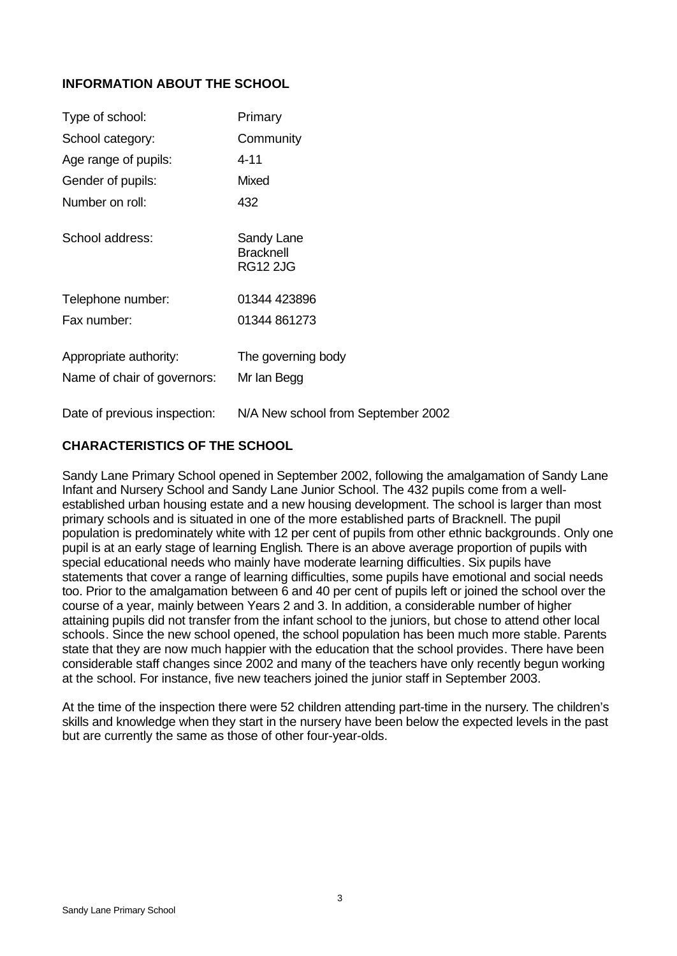# **INFORMATION ABOUT THE SCHOOL**

| Type of school:                                       | Primary                                           |
|-------------------------------------------------------|---------------------------------------------------|
| School category:                                      | Community                                         |
| Age range of pupils:                                  | $4 - 11$                                          |
| Gender of pupils:                                     | <b>Mixed</b>                                      |
| Number on roll:                                       | 432                                               |
| School address:                                       | Sandy Lane<br><b>Bracknell</b><br><b>RG12 2JG</b> |
| Telephone number:                                     | 01344 423896                                      |
| Fax number:                                           | 01344 861273                                      |
| Appropriate authority:<br>Name of chair of governors: | The governing body<br>Mr Ian Begg                 |
| Date of previous inspection:                          | N/A New school from September 2002                |

# **CHARACTERISTICS OF THE SCHOOL**

Sandy Lane Primary School opened in September 2002, following the amalgamation of Sandy Lane Infant and Nursery School and Sandy Lane Junior School. The 432 pupils come from a wellestablished urban housing estate and a new housing development. The school is larger than most primary schools and is situated in one of the more established parts of Bracknell. The pupil population is predominately white with 12 per cent of pupils from other ethnic backgrounds. Only one pupil is at an early stage of learning English. There is an above average proportion of pupils with special educational needs who mainly have moderate learning difficulties. Six pupils have statements that cover a range of learning difficulties, some pupils have emotional and social needs too. Prior to the amalgamation between 6 and 40 per cent of pupils left or joined the school over the course of a year, mainly between Years 2 and 3. In addition, a considerable number of higher attaining pupils did not transfer from the infant school to the juniors, but chose to attend other local schools. Since the new school opened, the school population has been much more stable. Parents state that they are now much happier with the education that the school provides. There have been considerable staff changes since 2002 and many of the teachers have only recently begun working at the school. For instance, five new teachers joined the junior staff in September 2003.

At the time of the inspection there were 52 children attending part-time in the nursery. The children's skills and knowledge when they start in the nursery have been below the expected levels in the past but are currently the same as those of other four-year-olds.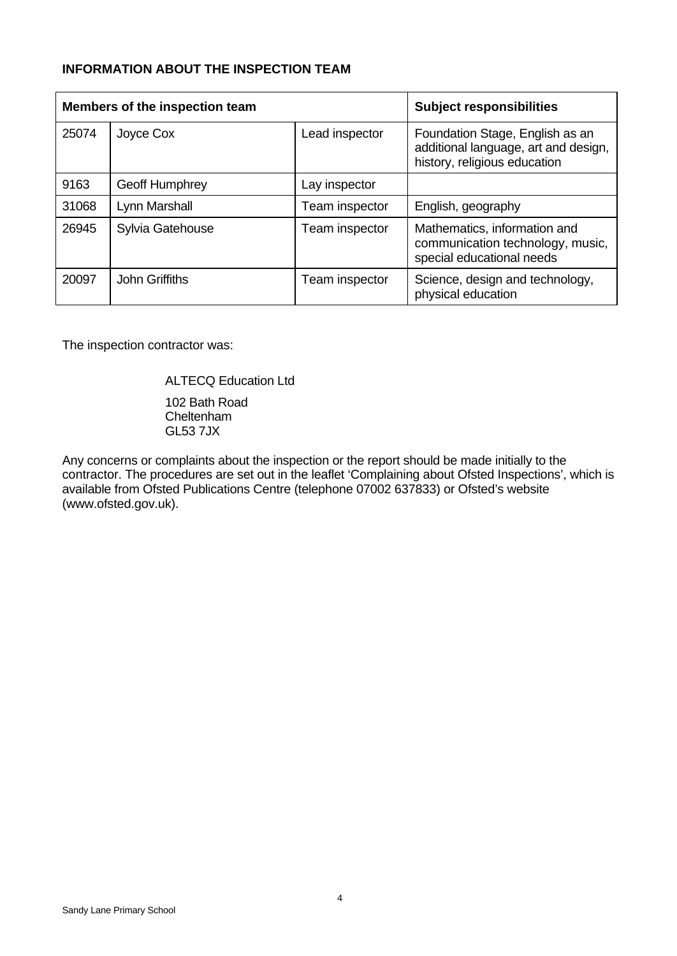# **INFORMATION ABOUT THE INSPECTION TEAM**

| Members of the inspection team |                       |                | <b>Subject responsibilities</b>                                                                         |
|--------------------------------|-----------------------|----------------|---------------------------------------------------------------------------------------------------------|
| 25074                          | Joyce Cox             | Lead inspector | Foundation Stage, English as an<br>additional language, art and design,<br>history, religious education |
| 9163                           | <b>Geoff Humphrey</b> | Lay inspector  |                                                                                                         |
| 31068                          | Lynn Marshall         | Team inspector | English, geography                                                                                      |
| 26945                          | Sylvia Gatehouse      | Team inspector | Mathematics, information and<br>communication technology, music,<br>special educational needs           |
| 20097                          | <b>John Griffiths</b> | Team inspector | Science, design and technology,<br>physical education                                                   |

The inspection contractor was:

ALTECQ Education Ltd

102 Bath Road Cheltenham GL53 7JX

Any concerns or complaints about the inspection or the report should be made initially to the contractor. The procedures are set out in the leaflet 'Complaining about Ofsted Inspections', which is available from Ofsted Publications Centre (telephone 07002 637833) or Ofsted's website (www.ofsted.gov.uk).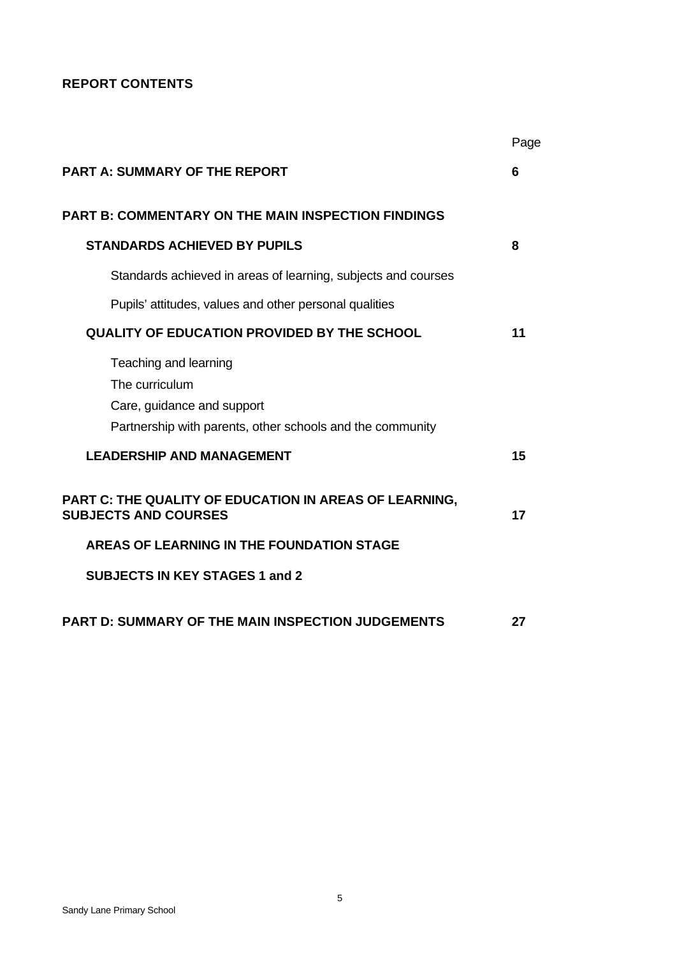# **REPORT CONTENTS**

|                                                                                                                                    | Page |
|------------------------------------------------------------------------------------------------------------------------------------|------|
| <b>PART A: SUMMARY OF THE REPORT</b>                                                                                               | 6    |
| <b>PART B: COMMENTARY ON THE MAIN INSPECTION FINDINGS</b>                                                                          |      |
| <b>STANDARDS ACHIEVED BY PUPILS</b>                                                                                                | 8    |
| Standards achieved in areas of learning, subjects and courses                                                                      |      |
| Pupils' attitudes, values and other personal qualities                                                                             |      |
| <b>QUALITY OF EDUCATION PROVIDED BY THE SCHOOL</b>                                                                                 | 11   |
| Teaching and learning<br>The curriculum<br>Care, guidance and support<br>Partnership with parents, other schools and the community |      |
| <b>LEADERSHIP AND MANAGEMENT</b>                                                                                                   | 15   |
| PART C: THE QUALITY OF EDUCATION IN AREAS OF LEARNING,<br><b>SUBJECTS AND COURSES</b>                                              | 17   |
| AREAS OF LEARNING IN THE FOUNDATION STAGE                                                                                          |      |
| <b>SUBJECTS IN KEY STAGES 1 and 2</b>                                                                                              |      |
| <b>PART D: SUMMARY OF THE MAIN INSPECTION JUDGEMENTS</b>                                                                           | 27   |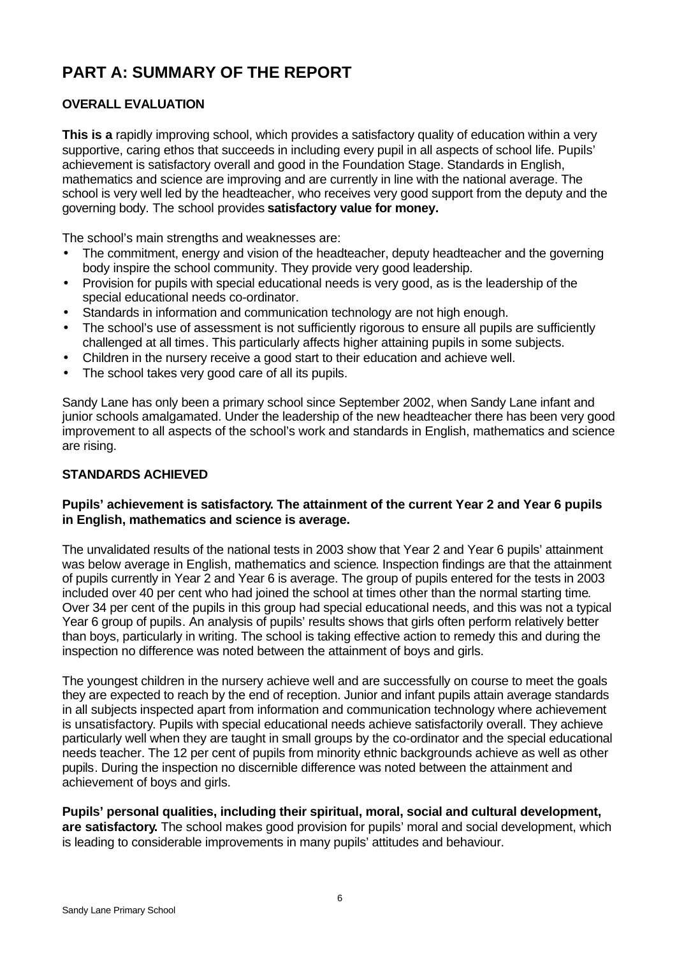# **PART A: SUMMARY OF THE REPORT**

# **OVERALL EVALUATION**

**This is a** rapidly improving school, which provides a satisfactory quality of education within a very supportive, caring ethos that succeeds in including every pupil in all aspects of school life. Pupils' achievement is satisfactory overall and good in the Foundation Stage. Standards in English, mathematics and science are improving and are currently in line with the national average. The school is very well led by the headteacher, who receives very good support from the deputy and the governing body. The school provides **satisfactory value for money.**

The school's main strengths and weaknesses are:

- The commitment, energy and vision of the headteacher, deputy headteacher and the governing body inspire the school community. They provide very good leadership.
- Provision for pupils with special educational needs is very good, as is the leadership of the special educational needs co-ordinator.
- Standards in information and communication technology are not high enough.
- The school's use of assessment is not sufficiently rigorous to ensure all pupils are sufficiently challenged at all times. This particularly affects higher attaining pupils in some subjects.
- Children in the nursery receive a good start to their education and achieve well.
- The school takes very good care of all its pupils.

Sandy Lane has only been a primary school since September 2002, when Sandy Lane infant and junior schools amalgamated. Under the leadership of the new headteacher there has been very good improvement to all aspects of the school's work and standards in English, mathematics and science are rising.

## **STANDARDS ACHIEVED**

## **Pupils' achievement is satisfactory. The attainment of the current Year 2 and Year 6 pupils in English, mathematics and science is average.**

The unvalidated results of the national tests in 2003 show that Year 2 and Year 6 pupils' attainment was below average in English, mathematics and science. Inspection findings are that the attainment of pupils currently in Year 2 and Year 6 is average. The group of pupils entered for the tests in 2003 included over 40 per cent who had joined the school at times other than the normal starting time. Over 34 per cent of the pupils in this group had special educational needs, and this was not a typical Year 6 group of pupils. An analysis of pupils' results shows that girls often perform relatively better than boys, particularly in writing. The school is taking effective action to remedy this and during the inspection no difference was noted between the attainment of boys and girls.

The youngest children in the nursery achieve well and are successfully on course to meet the goals they are expected to reach by the end of reception. Junior and infant pupils attain average standards in all subjects inspected apart from information and communication technology where achievement is unsatisfactory. Pupils with special educational needs achieve satisfactorily overall. They achieve particularly well when they are taught in small groups by the co-ordinator and the special educational needs teacher. The 12 per cent of pupils from minority ethnic backgrounds achieve as well as other pupils. During the inspection no discernible difference was noted between the attainment and achievement of boys and girls.

**Pupils' personal qualities, including their spiritual, moral, social and cultural development, are satisfactory.** The school makes good provision for pupils' moral and social development, which is leading to considerable improvements in many pupils' attitudes and behaviour.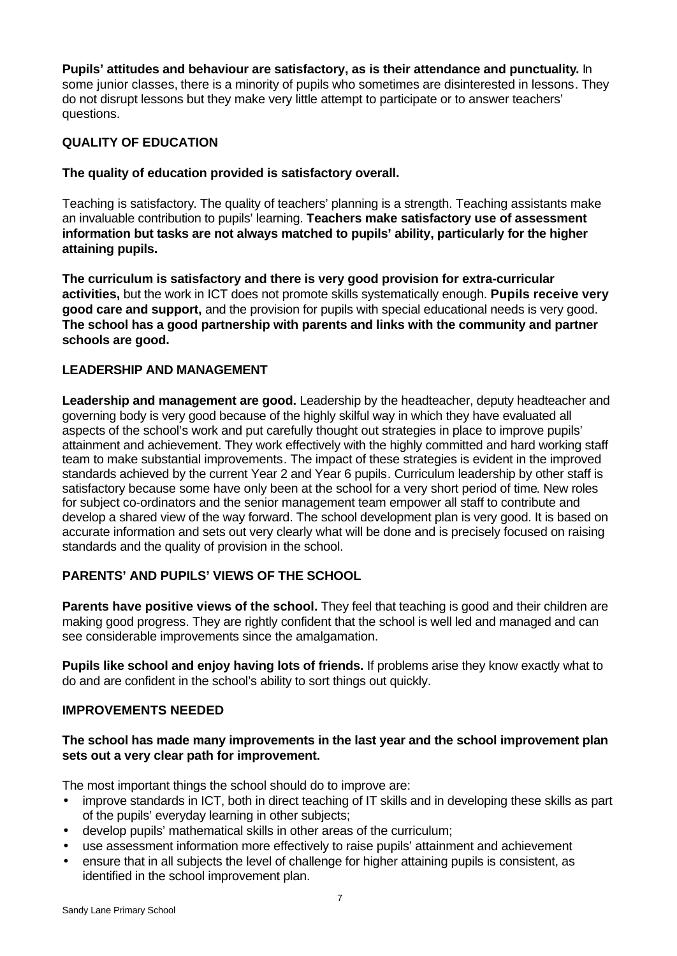#### **Pupils' attitudes and behaviour are satisfactory, as is their attendance and punctuality.** In some junior classes, there is a minority of pupils who sometimes are disinterested in lessons. They do not disrupt lessons but they make very little attempt to participate or to answer teachers' questions.

# **QUALITY OF EDUCATION**

#### **The quality of education provided is satisfactory overall.**

Teaching is satisfactory. The quality of teachers' planning is a strength. Teaching assistants make an invaluable contribution to pupils' learning. **Teachers make satisfactory use of assessment information but tasks are not always matched to pupils' ability, particularly for the higher attaining pupils.**

**The curriculum is satisfactory and there is very good provision for extra-curricular activities,** but the work in ICT does not promote skills systematically enough. **Pupils receive very good care and support,** and the provision for pupils with special educational needs is very good. **The school has a good partnership with parents and links with the community and partner schools are good.**

# **LEADERSHIP AND MANAGEMENT**

**Leadership and management are good.** Leadership by the headteacher, deputy headteacher and governing body is very good because of the highly skilful way in which they have evaluated all aspects of the school's work and put carefully thought out strategies in place to improve pupils' attainment and achievement. They work effectively with the highly committed and hard working staff team to make substantial improvements. The impact of these strategies is evident in the improved standards achieved by the current Year 2 and Year 6 pupils. Curriculum leadership by other staff is satisfactory because some have only been at the school for a very short period of time. New roles for subject co-ordinators and the senior management team empower all staff to contribute and develop a shared view of the way forward. The school development plan is very good. It is based on accurate information and sets out very clearly what will be done and is precisely focused on raising standards and the quality of provision in the school.

# **PARENTS' AND PUPILS' VIEWS OF THE SCHOOL**

**Parents have positive views of the school.** They feel that teaching is good and their children are making good progress. They are rightly confident that the school is well led and managed and can see considerable improvements since the amalgamation.

**Pupils like school and enjoy having lots of friends.** If problems arise they know exactly what to do and are confident in the school's ability to sort things out quickly.

#### **IMPROVEMENTS NEEDED**

## **The school has made many improvements in the last year and the school improvement plan sets out a very clear path for improvement.**

The most important things the school should do to improve are:

- improve standards in ICT, both in direct teaching of IT skills and in developing these skills as part of the pupils' everyday learning in other subjects;
- develop pupils' mathematical skills in other areas of the curriculum;
- use assessment information more effectively to raise pupils' attainment and achievement
- ensure that in all subjects the level of challenge for higher attaining pupils is consistent, as identified in the school improvement plan.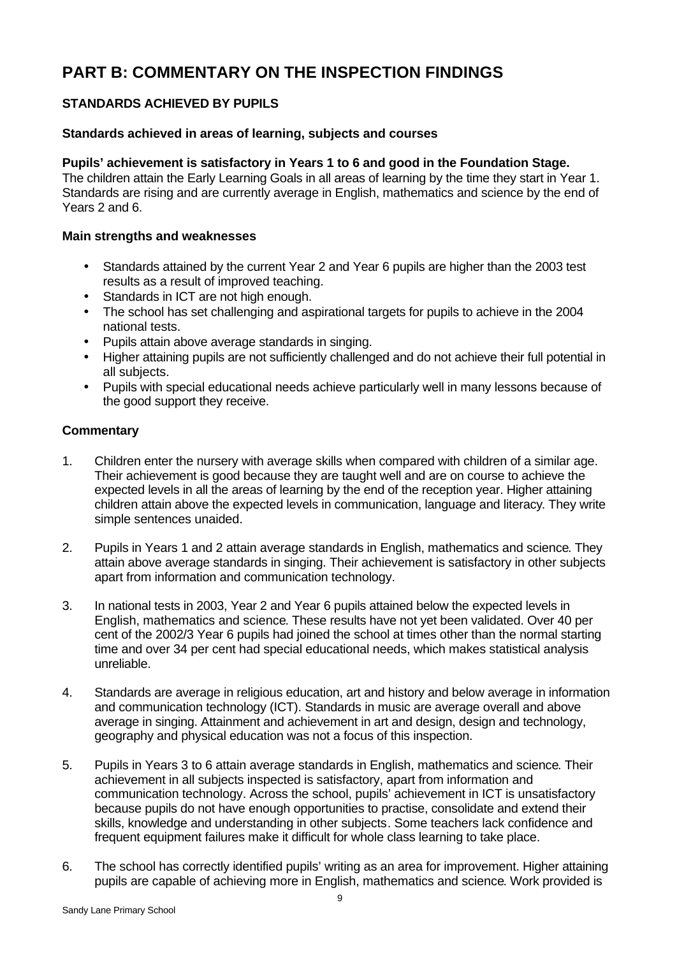# **PART B: COMMENTARY ON THE INSPECTION FINDINGS**

# **STANDARDS ACHIEVED BY PUPILS**

#### **Standards achieved in areas of learning, subjects and courses**

#### **Pupils' achievement is satisfactory in Years 1 to 6 and good in the Foundation Stage.**

The children attain the Early Learning Goals in all areas of learning by the time they start in Year 1. Standards are rising and are currently average in English, mathematics and science by the end of Years 2 and 6.

#### **Main strengths and weaknesses**

- Standards attained by the current Year 2 and Year 6 pupils are higher than the 2003 test results as a result of improved teaching.
- Standards in ICT are not high enough.
- The school has set challenging and aspirational targets for pupils to achieve in the 2004 national tests.
- Pupils attain above average standards in singing.
- Higher attaining pupils are not sufficiently challenged and do not achieve their full potential in all subjects.
- Pupils with special educational needs achieve particularly well in many lessons because of the good support they receive.

- 1. Children enter the nursery with average skills when compared with children of a similar age. Their achievement is good because they are taught well and are on course to achieve the expected levels in all the areas of learning by the end of the reception year. Higher attaining children attain above the expected levels in communication, language and literacy. They write simple sentences unaided.
- 2. Pupils in Years 1 and 2 attain average standards in English, mathematics and science. They attain above average standards in singing. Their achievement is satisfactory in other subjects apart from information and communication technology.
- 3. In national tests in 2003, Year 2 and Year 6 pupils attained below the expected levels in English, mathematics and science. These results have not yet been validated. Over 40 per cent of the 2002/3 Year 6 pupils had joined the school at times other than the normal starting time and over 34 per cent had special educational needs, which makes statistical analysis unreliable.
- 4. Standards are average in religious education, art and history and below average in information and communication technology (ICT). Standards in music are average overall and above average in singing. Attainment and achievement in art and design, design and technology, geography and physical education was not a focus of this inspection.
- 5. Pupils in Years 3 to 6 attain average standards in English, mathematics and science. Their achievement in all subjects inspected is satisfactory, apart from information and communication technology. Across the school, pupils' achievement in ICT is unsatisfactory because pupils do not have enough opportunities to practise, consolidate and extend their skills, knowledge and understanding in other subjects. Some teachers lack confidence and frequent equipment failures make it difficult for whole class learning to take place.
- 6. The school has correctly identified pupils' writing as an area for improvement. Higher attaining pupils are capable of achieving more in English, mathematics and science. Work provided is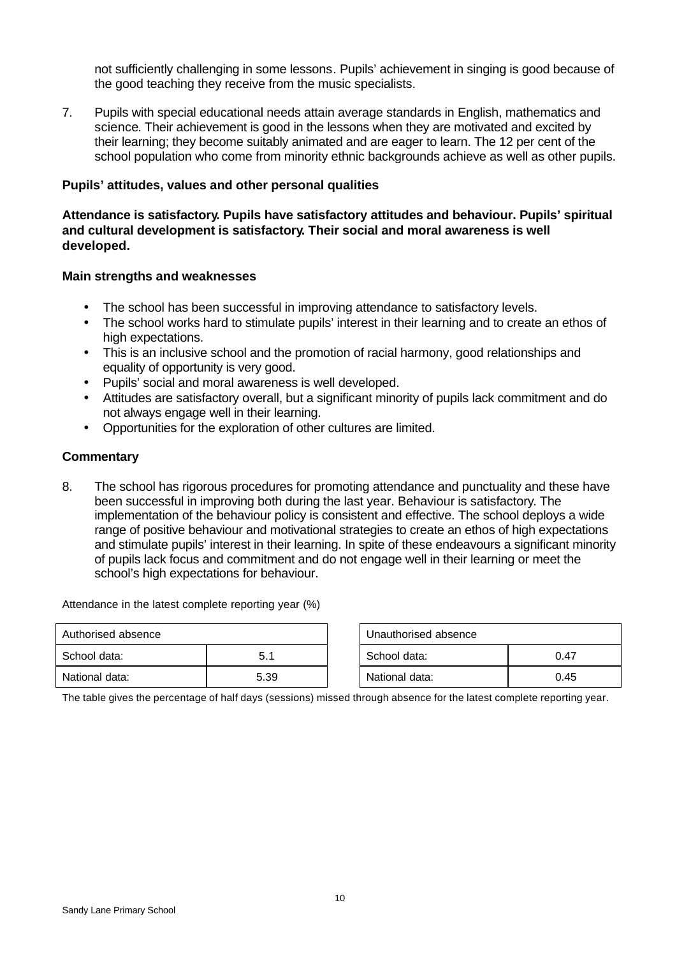not sufficiently challenging in some lessons. Pupils' achievement in singing is good because of the good teaching they receive from the music specialists.

7. Pupils with special educational needs attain average standards in English, mathematics and science. Their achievement is good in the lessons when they are motivated and excited by their learning; they become suitably animated and are eager to learn. The 12 per cent of the school population who come from minority ethnic backgrounds achieve as well as other pupils.

#### **Pupils' attitudes, values and other personal qualities**

**Attendance is satisfactory. Pupils have satisfactory attitudes and behaviour. Pupils' spiritual and cultural development is satisfactory. Their social and moral awareness is well developed.**

#### **Main strengths and weaknesses**

- The school has been successful in improving attendance to satisfactory levels.
- The school works hard to stimulate pupils' interest in their learning and to create an ethos of high expectations.
- This is an inclusive school and the promotion of racial harmony, good relationships and equality of opportunity is very good.
- Pupils' social and moral awareness is well developed.
- Attitudes are satisfactory overall, but a significant minority of pupils lack commitment and do not always engage well in their learning.
- Opportunities for the exploration of other cultures are limited.

#### **Commentary**

8. The school has rigorous procedures for promoting attendance and punctuality and these have been successful in improving both during the last year. Behaviour is satisfactory. The implementation of the behaviour policy is consistent and effective. The school deploys a wide range of positive behaviour and motivational strategies to create an ethos of high expectations and stimulate pupils' interest in their learning. In spite of these endeavours a significant minority of pupils lack focus and commitment and do not engage well in their learning or meet the school's high expectations for behaviour.

Attendance in the latest complete reporting year (%)

| Authorised absence |      | Unauthorised absence |      |
|--------------------|------|----------------------|------|
| School data:       | 5.1  | School data:         | 0.47 |
| National data:     | 5.39 | National data:       | 0.45 |

| Unauthorised absence |      |  |  |
|----------------------|------|--|--|
| School data:         | በ 47 |  |  |
| National data:       | 0.45 |  |  |

The table gives the percentage of half days (sessions) missed through absence for the latest complete reporting year.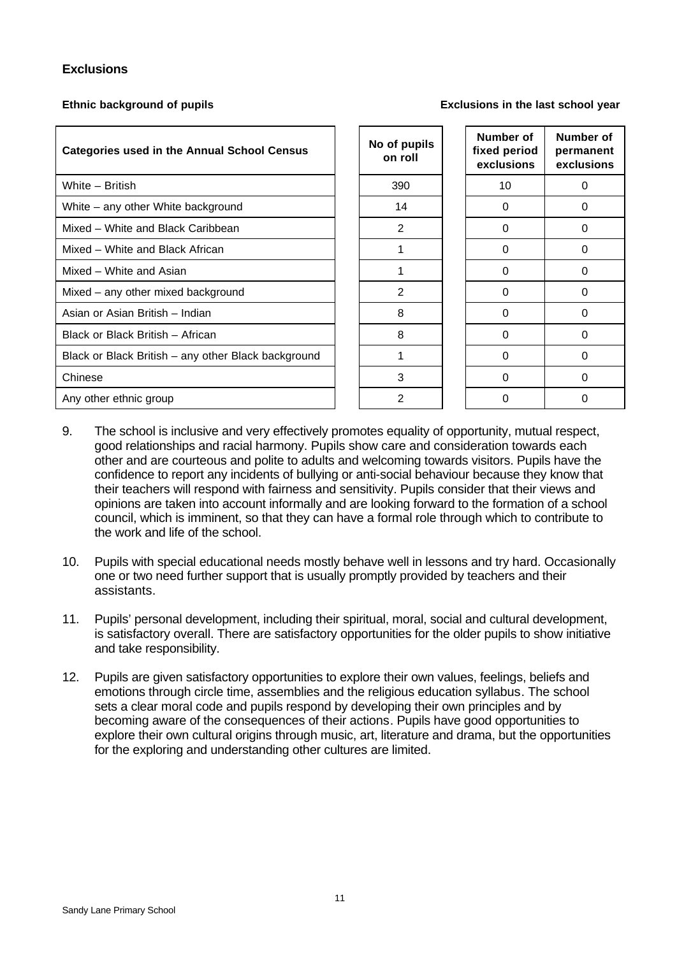#### **Exclusions**

**Ethnic background of pupils Exclusions in the last school year**

| <b>Categories used in the Annual School Census</b>  | No of pupils<br>on roll | Number of<br>fixed period<br>exclusions | <b>Numb</b><br>perma<br>exclus |
|-----------------------------------------------------|-------------------------|-----------------------------------------|--------------------------------|
| White - British                                     | 390                     | 10                                      | 0                              |
| White – any other White background                  | 14                      | $\Omega$                                | 0                              |
| Mixed - White and Black Caribbean                   | $\overline{2}$          | 0                                       | 0                              |
| Mixed - White and Black African                     |                         | 0                                       | 0                              |
| Mixed - White and Asian                             | 1                       | 0                                       | 0                              |
| Mixed – any other mixed background                  | 2                       | 0                                       | 0                              |
| Asian or Asian British - Indian                     | 8                       | 0                                       | $\Omega$                       |
| Black or Black British - African                    | 8                       | $\Omega$                                | $\Omega$                       |
| Black or Black British - any other Black background | 1                       | 0                                       | $\Omega$                       |
| Chinese                                             | 3                       | 0                                       | 0                              |
| Any other ethnic group                              | $\overline{2}$          | 0                                       | 0                              |

| of pupils<br>on roll | Number of<br>fixed period<br>exclusions | Number of<br>permanent<br>exclusions |
|----------------------|-----------------------------------------|--------------------------------------|
| 390                  | 10                                      | 0                                    |
| 14                   | 0                                       | 0                                    |
| $\overline{2}$       | 0                                       | 0                                    |
| 1                    | 0                                       | 0                                    |
| 1                    | 0                                       | 0                                    |
| 2                    | 0                                       | 0                                    |
| 8                    | 0                                       | 0                                    |
| 8                    | 0                                       | 0                                    |
| 1                    | 0                                       | 0                                    |
| 3                    | ი                                       | ი                                    |
| 2                    | ი                                       | 0                                    |

- 9. The school is inclusive and very effectively promotes equality of opportunity, mutual respect, good relationships and racial harmony. Pupils show care and consideration towards each other and are courteous and polite to adults and welcoming towards visitors. Pupils have the confidence to report any incidents of bullying or anti-social behaviour because they know that their teachers will respond with fairness and sensitivity. Pupils consider that their views and opinions are taken into account informally and are looking forward to the formation of a school council, which is imminent, so that they can have a formal role through which to contribute to the work and life of the school.
- 10. Pupils with special educational needs mostly behave well in lessons and try hard. Occasionally one or two need further support that is usually promptly provided by teachers and their assistants.
- 11. Pupils' personal development, including their spiritual, moral, social and cultural development, is satisfactory overall. There are satisfactory opportunities for the older pupils to show initiative and take responsibility.
- 12. Pupils are given satisfactory opportunities to explore their own values, feelings, beliefs and emotions through circle time, assemblies and the religious education syllabus. The school sets a clear moral code and pupils respond by developing their own principles and by becoming aware of the consequences of their actions. Pupils have good opportunities to explore their own cultural origins through music, art, literature and drama, but the opportunities for the exploring and understanding other cultures are limited.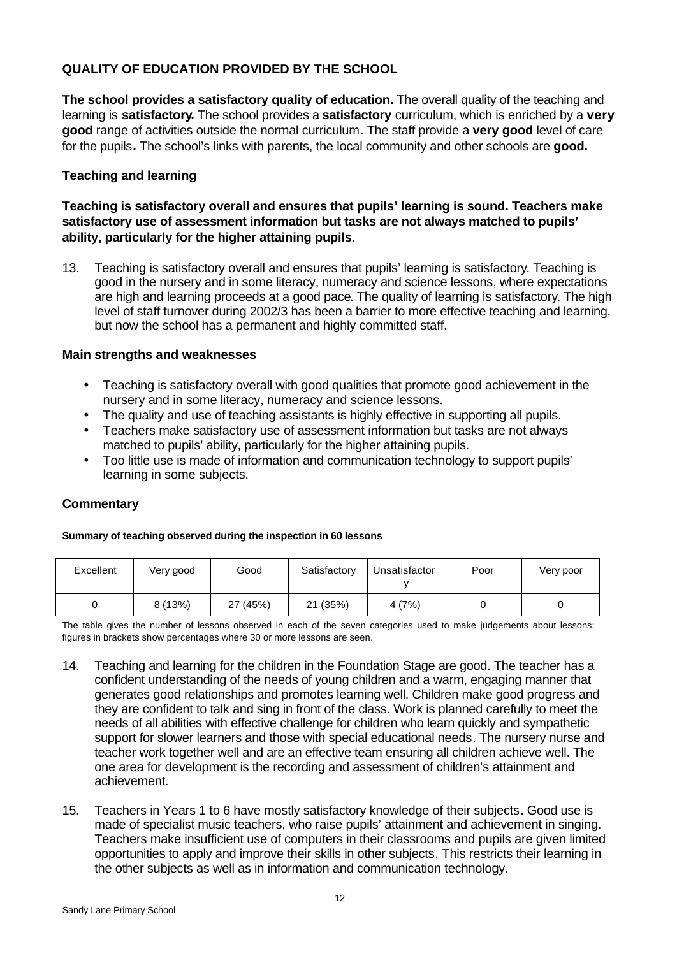# **QUALITY OF EDUCATION PROVIDED BY THE SCHOOL**

**The school provides a satisfactory quality of education.** The overall quality of the teaching and learning is **satisfactory.** The school provides a **satisfactory** curriculum, which is enriched by a **very good** range of activities outside the normal curriculum. The staff provide a **very good** level of care for the pupils**.** The school's links with parents, the local community and other schools are **good.**

#### **Teaching and learning**

**Teaching is satisfactory overall and ensures that pupils' learning is sound. Teachers make satisfactory use of assessment information but tasks are not always matched to pupils' ability, particularly for the higher attaining pupils.**

13. Teaching is satisfactory overall and ensures that pupils' learning is satisfactory. Teaching is good in the nursery and in some literacy, numeracy and science lessons, where expectations are high and learning proceeds at a good pace. The quality of learning is satisfactory. The high level of staff turnover during 2002/3 has been a barrier to more effective teaching and learning, but now the school has a permanent and highly committed staff.

#### **Main strengths and weaknesses**

- Teaching is satisfactory overall with good qualities that promote good achievement in the nursery and in some literacy, numeracy and science lessons.
- The quality and use of teaching assistants is highly effective in supporting all pupils.
- Teachers make satisfactory use of assessment information but tasks are not always matched to pupils' ability, particularly for the higher attaining pupils.
- Too little use is made of information and communication technology to support pupils' learning in some subjects.

#### **Commentary**

#### **Summary of teaching observed during the inspection in 60 lessons**

| Excellent | Very good | Good     | Satisfactory | Unsatisfactor | Poor | Very poor |
|-----------|-----------|----------|--------------|---------------|------|-----------|
|           | 8(13%)    | 27 (45%) | 21 (35%)     | 4(7%)         |      |           |

The table gives the number of lessons observed in each of the seven categories used to make judgements about lessons; figures in brackets show percentages where 30 or more lessons are seen.

- 14. Teaching and learning for the children in the Foundation Stage are good. The teacher has a confident understanding of the needs of young children and a warm, engaging manner that generates good relationships and promotes learning well. Children make good progress and they are confident to talk and sing in front of the class. Work is planned carefully to meet the needs of all abilities with effective challenge for children who learn quickly and sympathetic support for slower learners and those with special educational needs. The nursery nurse and teacher work together well and are an effective team ensuring all children achieve well. The one area for development is the recording and assessment of children's attainment and achievement.
- 15. Teachers in Years 1 to 6 have mostly satisfactory knowledge of their subjects. Good use is made of specialist music teachers, who raise pupils' attainment and achievement in singing. Teachers make insufficient use of computers in their classrooms and pupils are given limited opportunities to apply and improve their skills in other subjects. This restricts their learning in the other subjects as well as in information and communication technology.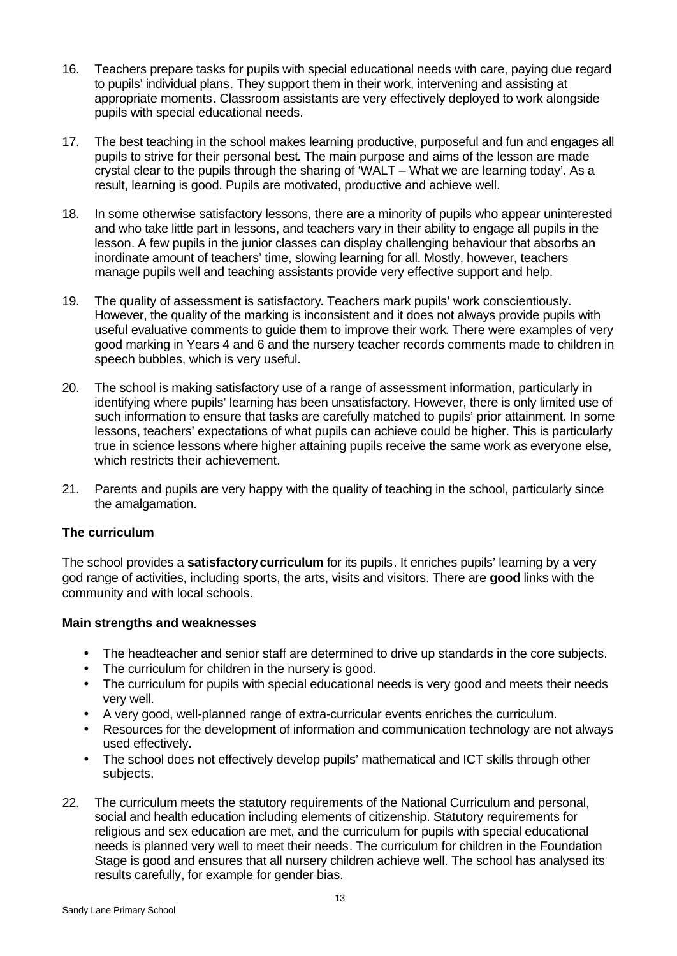- 16. Teachers prepare tasks for pupils with special educational needs with care, paying due regard to pupils' individual plans. They support them in their work, intervening and assisting at appropriate moments. Classroom assistants are very effectively deployed to work alongside pupils with special educational needs.
- 17. The best teaching in the school makes learning productive, purposeful and fun and engages all pupils to strive for their personal best. The main purpose and aims of the lesson are made crystal clear to the pupils through the sharing of 'WALT – What we are learning today'. As a result, learning is good. Pupils are motivated, productive and achieve well.
- 18. In some otherwise satisfactory lessons, there are a minority of pupils who appear uninterested and who take little part in lessons, and teachers vary in their ability to engage all pupils in the lesson. A few pupils in the junior classes can display challenging behaviour that absorbs an inordinate amount of teachers' time, slowing learning for all. Mostly, however, teachers manage pupils well and teaching assistants provide very effective support and help.
- 19. The quality of assessment is satisfactory. Teachers mark pupils' work conscientiously. However, the quality of the marking is inconsistent and it does not always provide pupils with useful evaluative comments to guide them to improve their work. There were examples of very good marking in Years 4 and 6 and the nursery teacher records comments made to children in speech bubbles, which is very useful.
- 20. The school is making satisfactory use of a range of assessment information, particularly in identifying where pupils' learning has been unsatisfactory. However, there is only limited use of such information to ensure that tasks are carefully matched to pupils' prior attainment. In some lessons, teachers' expectations of what pupils can achieve could be higher. This is particularly true in science lessons where higher attaining pupils receive the same work as everyone else, which restricts their achievement.
- 21. Parents and pupils are very happy with the quality of teaching in the school, particularly since the amalgamation.

#### **The curriculum**

The school provides a **satisfactorycurriculum** for its pupils. It enriches pupils' learning by a very god range of activities, including sports, the arts, visits and visitors. There are **good** links with the community and with local schools.

#### **Main strengths and weaknesses**

- The headteacher and senior staff are determined to drive up standards in the core subjects.
- The curriculum for children in the nursery is good.
- The curriculum for pupils with special educational needs is very good and meets their needs very well.
- A very good, well-planned range of extra-curricular events enriches the curriculum.
- Resources for the development of information and communication technology are not always used effectively.
- The school does not effectively develop pupils' mathematical and ICT skills through other subjects.
- 22. The curriculum meets the statutory requirements of the National Curriculum and personal, social and health education including elements of citizenship. Statutory requirements for religious and sex education are met, and the curriculum for pupils with special educational needs is planned very well to meet their needs. The curriculum for children in the Foundation Stage is good and ensures that all nursery children achieve well. The school has analysed its results carefully, for example for gender bias.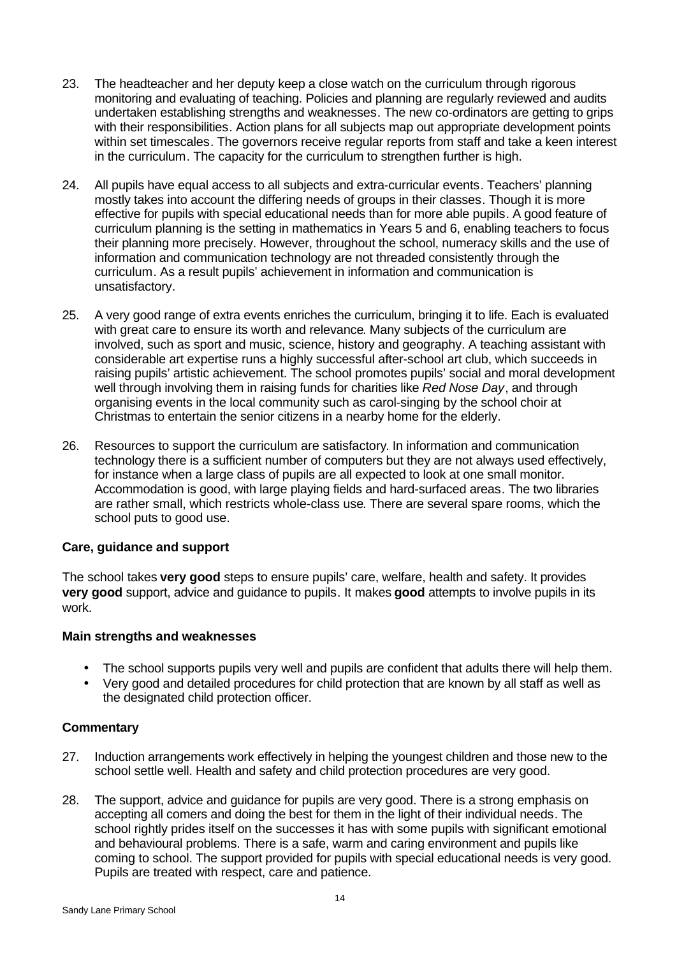- 23. The headteacher and her deputy keep a close watch on the curriculum through rigorous monitoring and evaluating of teaching. Policies and planning are regularly reviewed and audits undertaken establishing strengths and weaknesses. The new co-ordinators are getting to grips with their responsibilities. Action plans for all subjects map out appropriate development points within set timescales. The governors receive regular reports from staff and take a keen interest in the curriculum. The capacity for the curriculum to strengthen further is high.
- 24. All pupils have equal access to all subjects and extra-curricular events. Teachers' planning mostly takes into account the differing needs of groups in their classes. Though it is more effective for pupils with special educational needs than for more able pupils. A good feature of curriculum planning is the setting in mathematics in Years 5 and 6, enabling teachers to focus their planning more precisely. However, throughout the school, numeracy skills and the use of information and communication technology are not threaded consistently through the curriculum. As a result pupils' achievement in information and communication is unsatisfactory.
- 25. A very good range of extra events enriches the curriculum, bringing it to life. Each is evaluated with great care to ensure its worth and relevance. Many subjects of the curriculum are involved, such as sport and music, science, history and geography. A teaching assistant with considerable art expertise runs a highly successful after-school art club, which succeeds in raising pupils' artistic achievement. The school promotes pupils' social and moral development well through involving them in raising funds for charities like *Red Nose Day*, and through organising events in the local community such as carol-singing by the school choir at Christmas to entertain the senior citizens in a nearby home for the elderly.
- 26. Resources to support the curriculum are satisfactory. In information and communication technology there is a sufficient number of computers but they are not always used effectively, for instance when a large class of pupils are all expected to look at one small monitor. Accommodation is good, with large playing fields and hard-surfaced areas. The two libraries are rather small, which restricts whole-class use. There are several spare rooms, which the school puts to good use.

#### **Care, guidance and support**

The school takes **very good** steps to ensure pupils' care, welfare, health and safety. It provides **very good** support, advice and guidance to pupils. It makes **good** attempts to involve pupils in its work.

#### **Main strengths and weaknesses**

- The school supports pupils very well and pupils are confident that adults there will help them.
- Very good and detailed procedures for child protection that are known by all staff as well as the designated child protection officer.

- 27. Induction arrangements work effectively in helping the youngest children and those new to the school settle well. Health and safety and child protection procedures are very good.
- 28. The support, advice and guidance for pupils are very good. There is a strong emphasis on accepting all comers and doing the best for them in the light of their individual needs. The school rightly prides itself on the successes it has with some pupils with significant emotional and behavioural problems. There is a safe, warm and caring environment and pupils like coming to school. The support provided for pupils with special educational needs is very good. Pupils are treated with respect, care and patience.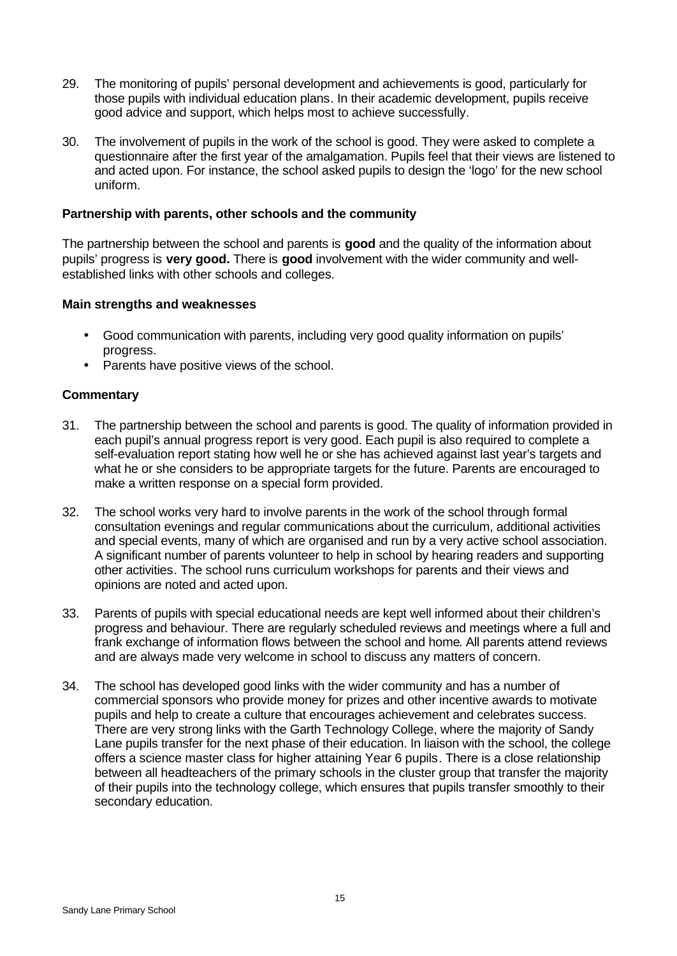- 29. The monitoring of pupils' personal development and achievements is good, particularly for those pupils with individual education plans. In their academic development, pupils receive good advice and support, which helps most to achieve successfully.
- 30. The involvement of pupils in the work of the school is good. They were asked to complete a questionnaire after the first year of the amalgamation. Pupils feel that their views are listened to and acted upon. For instance, the school asked pupils to design the 'logo' for the new school uniform.

#### **Partnership with parents, other schools and the community**

The partnership between the school and parents is **good** and the quality of the information about pupils' progress is **very good.** There is **good** involvement with the wider community and wellestablished links with other schools and colleges.

#### **Main strengths and weaknesses**

- Good communication with parents, including very good quality information on pupils' progress.
- Parents have positive views of the school.

- 31. The partnership between the school and parents is good. The quality of information provided in each pupil's annual progress report is very good. Each pupil is also required to complete a self-evaluation report stating how well he or she has achieved against last year's targets and what he or she considers to be appropriate targets for the future. Parents are encouraged to make a written response on a special form provided.
- 32. The school works very hard to involve parents in the work of the school through formal consultation evenings and regular communications about the curriculum, additional activities and special events, many of which are organised and run by a very active school association. A significant number of parents volunteer to help in school by hearing readers and supporting other activities. The school runs curriculum workshops for parents and their views and opinions are noted and acted upon.
- 33. Parents of pupils with special educational needs are kept well informed about their children's progress and behaviour. There are regularly scheduled reviews and meetings where a full and frank exchange of information flows between the school and home. All parents attend reviews and are always made very welcome in school to discuss any matters of concern.
- 34. The school has developed good links with the wider community and has a number of commercial sponsors who provide money for prizes and other incentive awards to motivate pupils and help to create a culture that encourages achievement and celebrates success. There are very strong links with the Garth Technology College, where the majority of Sandy Lane pupils transfer for the next phase of their education. In liaison with the school, the college offers a science master class for higher attaining Year 6 pupils. There is a close relationship between all headteachers of the primary schools in the cluster group that transfer the majority of their pupils into the technology college, which ensures that pupils transfer smoothly to their secondary education.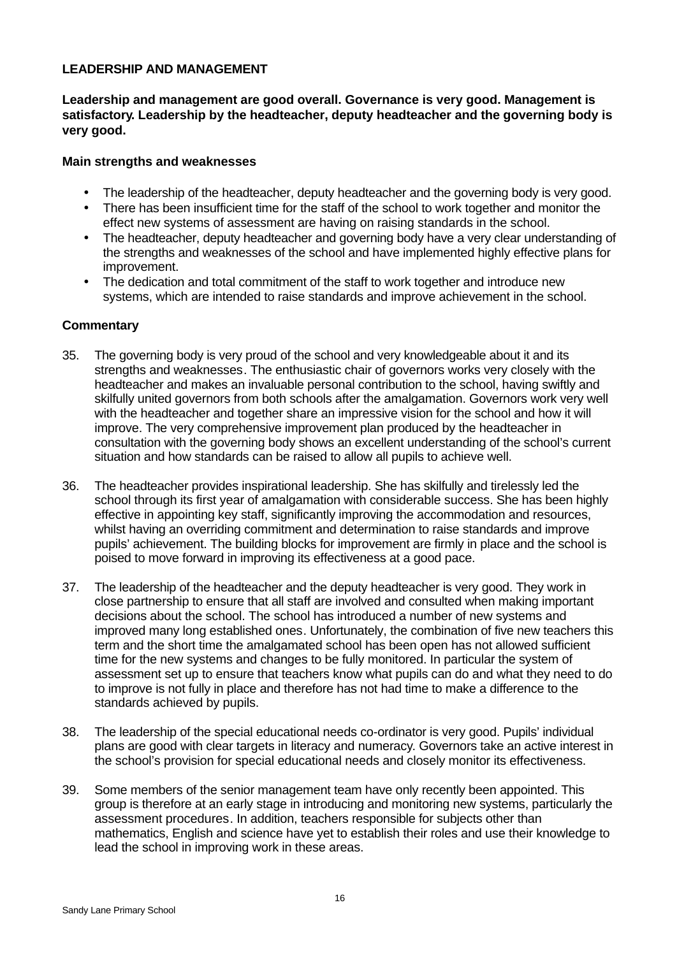## **LEADERSHIP AND MANAGEMENT**

**Leadership and management are good overall. Governance is very good. Management is satisfactory. Leadership by the headteacher, deputy headteacher and the governing body is very good.**

#### **Main strengths and weaknesses**

- The leadership of the headteacher, deputy headteacher and the governing body is very good.
- There has been insufficient time for the staff of the school to work together and monitor the effect new systems of assessment are having on raising standards in the school.
- The headteacher, deputy headteacher and governing body have a very clear understanding of the strengths and weaknesses of the school and have implemented highly effective plans for improvement.
- The dedication and total commitment of the staff to work together and introduce new systems, which are intended to raise standards and improve achievement in the school.

- 35. The governing body is very proud of the school and very knowledgeable about it and its strengths and weaknesses. The enthusiastic chair of governors works very closely with the headteacher and makes an invaluable personal contribution to the school, having swiftly and skilfully united governors from both schools after the amalgamation. Governors work very well with the headteacher and together share an impressive vision for the school and how it will improve. The very comprehensive improvement plan produced by the headteacher in consultation with the governing body shows an excellent understanding of the school's current situation and how standards can be raised to allow all pupils to achieve well.
- 36. The headteacher provides inspirational leadership. She has skilfully and tirelessly led the school through its first year of amalgamation with considerable success. She has been highly effective in appointing key staff, significantly improving the accommodation and resources, whilst having an overriding commitment and determination to raise standards and improve pupils' achievement. The building blocks for improvement are firmly in place and the school is poised to move forward in improving its effectiveness at a good pace.
- 37. The leadership of the headteacher and the deputy headteacher is very good. They work in close partnership to ensure that all staff are involved and consulted when making important decisions about the school. The school has introduced a number of new systems and improved many long established ones. Unfortunately, the combination of five new teachers this term and the short time the amalgamated school has been open has not allowed sufficient time for the new systems and changes to be fully monitored. In particular the system of assessment set up to ensure that teachers know what pupils can do and what they need to do to improve is not fully in place and therefore has not had time to make a difference to the standards achieved by pupils.
- 38. The leadership of the special educational needs co-ordinator is very good. Pupils' individual plans are good with clear targets in literacy and numeracy. Governors take an active interest in the school's provision for special educational needs and closely monitor its effectiveness.
- 39. Some members of the senior management team have only recently been appointed. This group is therefore at an early stage in introducing and monitoring new systems, particularly the assessment procedures. In addition, teachers responsible for subjects other than mathematics, English and science have yet to establish their roles and use their knowledge to lead the school in improving work in these areas.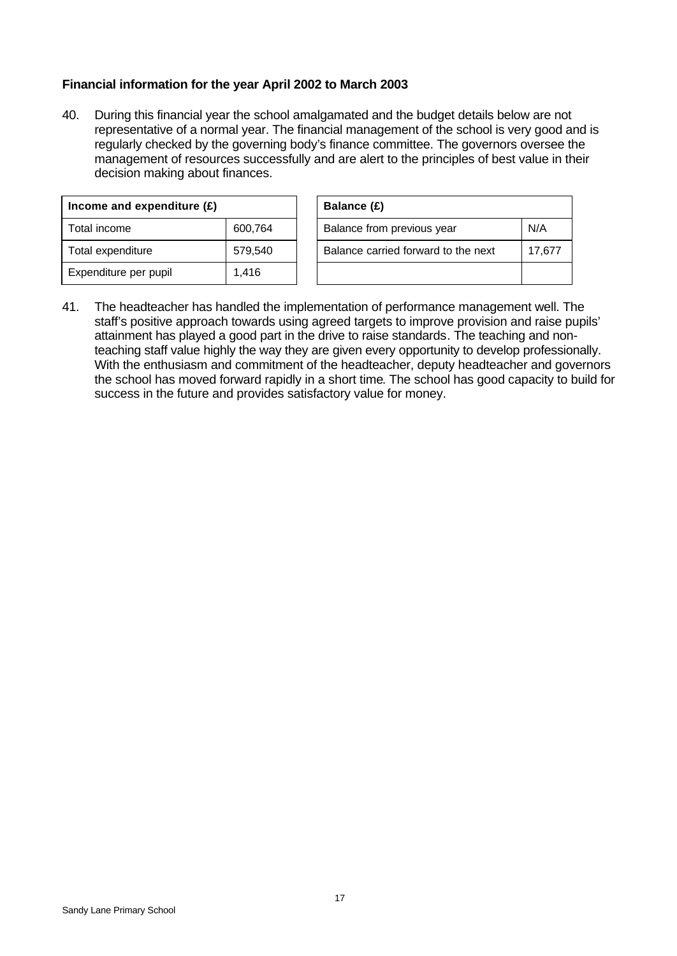# **Financial information for the year April 2002 to March 2003**

40. During this financial year the school amalgamated and the budget details below are not representative of a normal year. The financial management of the school is very good and is regularly checked by the governing body's finance committee. The governors oversee the management of resources successfully and are alert to the principles of best value in their decision making about finances.

| Income and expenditure $(E)$ |         |  | Balance (£)         |
|------------------------------|---------|--|---------------------|
| Total income                 | 600,764 |  | <b>Balance fron</b> |
| Total expenditure            | 579,540 |  | Balance cari        |
| Expenditure per pupil        | 1,416   |  |                     |

| Income and expenditure (£) |         | Balance (£)                         |        |
|----------------------------|---------|-------------------------------------|--------|
| Total income               | 600,764 | Balance from previous year          | N/A    |
| Total expenditure          | 579,540 | Balance carried forward to the next | 17,677 |
| Expenditure per pupil      | 1.416   |                                     |        |

41. The headteacher has handled the implementation of performance management well. The staff's positive approach towards using agreed targets to improve provision and raise pupils' attainment has played a good part in the drive to raise standards. The teaching and nonteaching staff value highly the way they are given every opportunity to develop professionally. With the enthusiasm and commitment of the headteacher, deputy headteacher and governors the school has moved forward rapidly in a short time. The school has good capacity to build for success in the future and provides satisfactory value for money.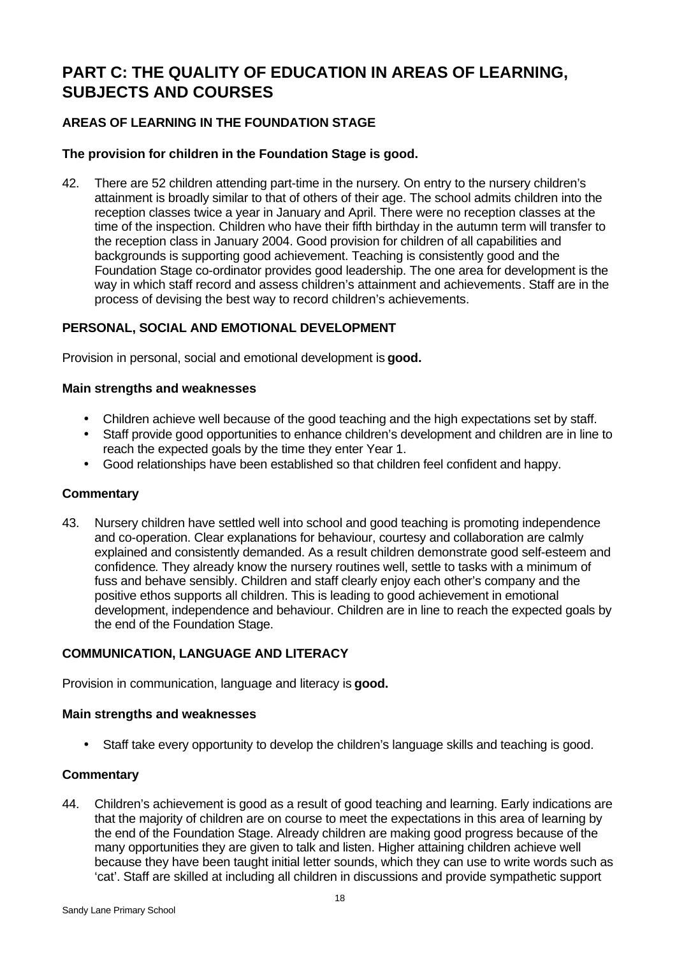# **PART C: THE QUALITY OF EDUCATION IN AREAS OF LEARNING, SUBJECTS AND COURSES**

# **AREAS OF LEARNING IN THE FOUNDATION STAGE**

## **The provision for children in the Foundation Stage is good.**

42. There are 52 children attending part-time in the nursery. On entry to the nursery children's attainment is broadly similar to that of others of their age. The school admits children into the reception classes twice a year in January and April. There were no reception classes at the time of the inspection. Children who have their fifth birthday in the autumn term will transfer to the reception class in January 2004. Good provision for children of all capabilities and backgrounds is supporting good achievement. Teaching is consistently good and the Foundation Stage co-ordinator provides good leadership. The one area for development is the way in which staff record and assess children's attainment and achievements. Staff are in the process of devising the best way to record children's achievements.

#### **PERSONAL, SOCIAL AND EMOTIONAL DEVELOPMENT**

Provision in personal, social and emotional development is **good.**

#### **Main strengths and weaknesses**

- Children achieve well because of the good teaching and the high expectations set by staff.
- Staff provide good opportunities to enhance children's development and children are in line to reach the expected goals by the time they enter Year 1.
- Good relationships have been established so that children feel confident and happy.

#### **Commentary**

43. Nursery children have settled well into school and good teaching is promoting independence and co-operation. Clear explanations for behaviour, courtesy and collaboration are calmly explained and consistently demanded. As a result children demonstrate good self-esteem and confidence. They already know the nursery routines well, settle to tasks with a minimum of fuss and behave sensibly. Children and staff clearly enjoy each other's company and the positive ethos supports all children. This is leading to good achievement in emotional development, independence and behaviour. Children are in line to reach the expected goals by the end of the Foundation Stage.

# **COMMUNICATION, LANGUAGE AND LITERACY**

Provision in communication, language and literacy is **good.**

#### **Main strengths and weaknesses**

• Staff take every opportunity to develop the children's language skills and teaching is good.

#### **Commentary**

44. Children's achievement is good as a result of good teaching and learning. Early indications are that the majority of children are on course to meet the expectations in this area of learning by the end of the Foundation Stage. Already children are making good progress because of the many opportunities they are given to talk and listen. Higher attaining children achieve well because they have been taught initial letter sounds, which they can use to write words such as 'cat'. Staff are skilled at including all children in discussions and provide sympathetic support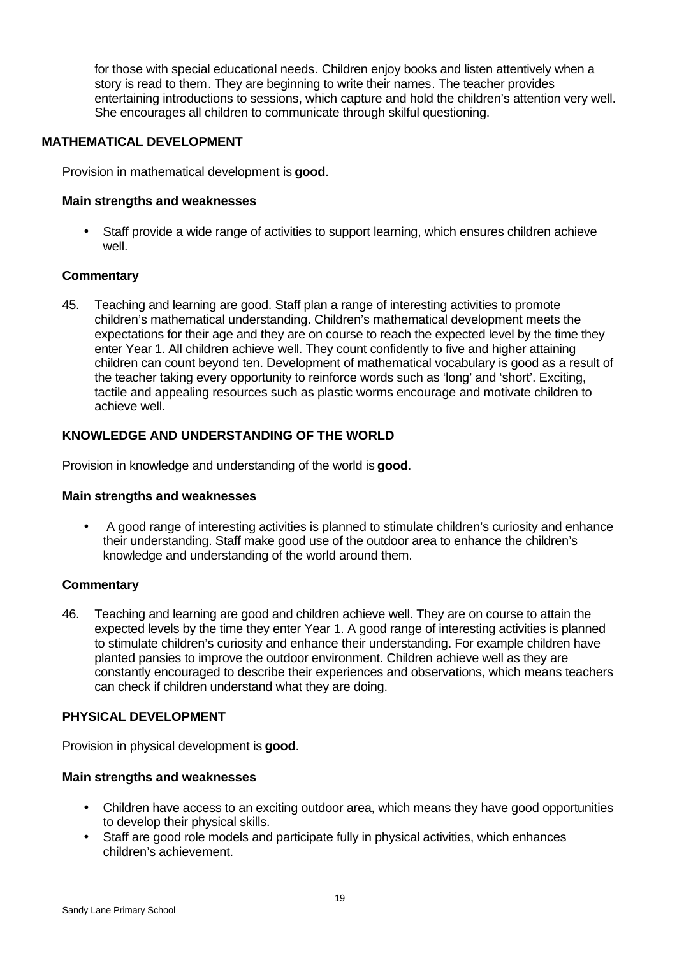for those with special educational needs. Children enjoy books and listen attentively when a story is read to them. They are beginning to write their names. The teacher provides entertaining introductions to sessions, which capture and hold the children's attention very well. She encourages all children to communicate through skilful questioning.

#### **MATHEMATICAL DEVELOPMENT**

Provision in mathematical development is **good**.

#### **Main strengths and weaknesses**

• Staff provide a wide range of activities to support learning, which ensures children achieve well.

#### **Commentary**

45. Teaching and learning are good. Staff plan a range of interesting activities to promote children's mathematical understanding. Children's mathematical development meets the expectations for their age and they are on course to reach the expected level by the time they enter Year 1. All children achieve well. They count confidently to five and higher attaining children can count beyond ten. Development of mathematical vocabulary is good as a result of the teacher taking every opportunity to reinforce words such as 'long' and 'short'. Exciting, tactile and appealing resources such as plastic worms encourage and motivate children to achieve well.

## **KNOWLEDGE AND UNDERSTANDING OF THE WORLD**

Provision in knowledge and understanding of the world is **good**.

#### **Main strengths and weaknesses**

• A good range of interesting activities is planned to stimulate children's curiosity and enhance their understanding. Staff make good use of the outdoor area to enhance the children's knowledge and understanding of the world around them.

#### **Commentary**

46. Teaching and learning are good and children achieve well. They are on course to attain the expected levels by the time they enter Year 1. A good range of interesting activities is planned to stimulate children's curiosity and enhance their understanding. For example children have planted pansies to improve the outdoor environment. Children achieve well as they are constantly encouraged to describe their experiences and observations, which means teachers can check if children understand what they are doing.

#### **PHYSICAL DEVELOPMENT**

Provision in physical development is **good**.

#### **Main strengths and weaknesses**

- Children have access to an exciting outdoor area, which means they have good opportunities to develop their physical skills.
- Staff are good role models and participate fully in physical activities, which enhances children's achievement.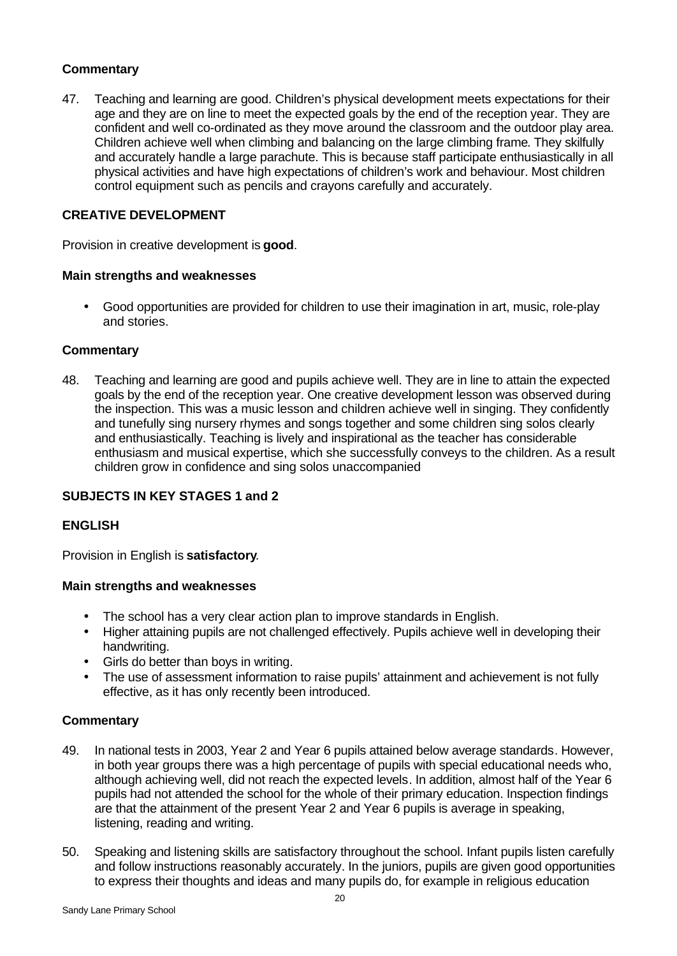# **Commentary**

47. Teaching and learning are good. Children's physical development meets expectations for their age and they are on line to meet the expected goals by the end of the reception year. They are confident and well co-ordinated as they move around the classroom and the outdoor play area. Children achieve well when climbing and balancing on the large climbing frame. They skilfully and accurately handle a large parachute. This is because staff participate enthusiastically in all physical activities and have high expectations of children's work and behaviour. Most children control equipment such as pencils and crayons carefully and accurately.

# **CREATIVE DEVELOPMENT**

Provision in creative development is **good**.

#### **Main strengths and weaknesses**

• Good opportunities are provided for children to use their imagination in art, music, role-play and stories.

#### **Commentary**

48. Teaching and learning are good and pupils achieve well. They are in line to attain the expected goals by the end of the reception year. One creative development lesson was observed during the inspection. This was a music lesson and children achieve well in singing. They confidently and tunefully sing nursery rhymes and songs together and some children sing solos clearly and enthusiastically. Teaching is lively and inspirational as the teacher has considerable enthusiasm and musical expertise, which she successfully conveys to the children. As a result children grow in confidence and sing solos unaccompanied

#### **SUBJECTS IN KEY STAGES 1 and 2**

#### **ENGLISH**

Provision in English is **satisfactory**.

#### **Main strengths and weaknesses**

- The school has a very clear action plan to improve standards in English.
- Higher attaining pupils are not challenged effectively. Pupils achieve well in developing their handwriting.
- Girls do better than boys in writing.
- The use of assessment information to raise pupils' attainment and achievement is not fully effective, as it has only recently been introduced.

- 49. In national tests in 2003, Year 2 and Year 6 pupils attained below average standards. However, in both year groups there was a high percentage of pupils with special educational needs who, although achieving well, did not reach the expected levels. In addition, almost half of the Year 6 pupils had not attended the school for the whole of their primary education. Inspection findings are that the attainment of the present Year 2 and Year 6 pupils is average in speaking, listening, reading and writing.
- 50. Speaking and listening skills are satisfactory throughout the school. Infant pupils listen carefully and follow instructions reasonably accurately. In the juniors, pupils are given good opportunities to express their thoughts and ideas and many pupils do, for example in religious education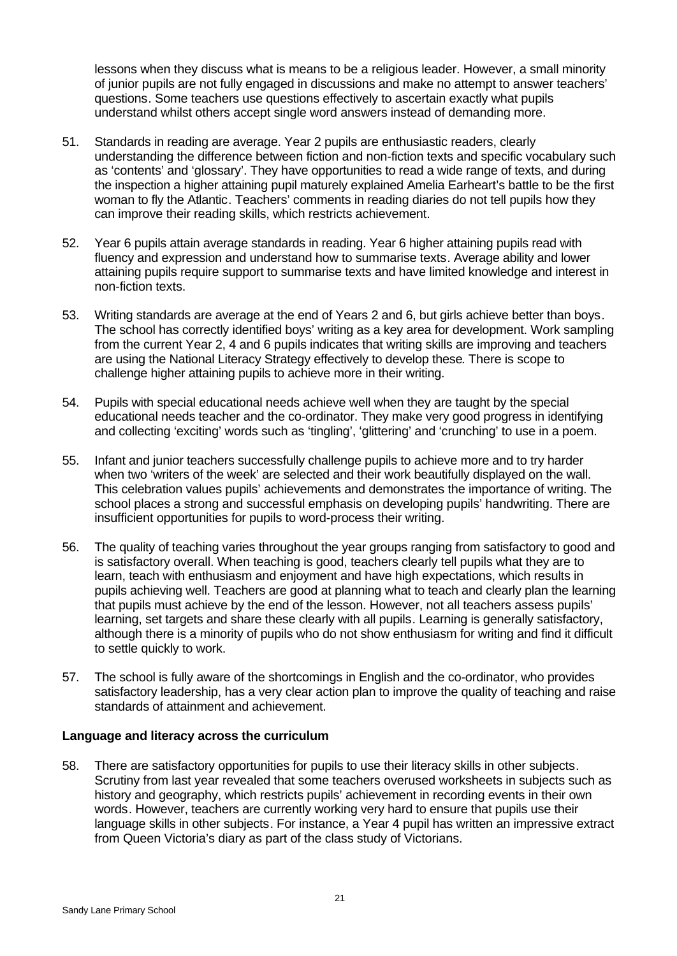lessons when they discuss what is means to be a religious leader. However, a small minority of junior pupils are not fully engaged in discussions and make no attempt to answer teachers' questions. Some teachers use questions effectively to ascertain exactly what pupils understand whilst others accept single word answers instead of demanding more.

- 51. Standards in reading are average. Year 2 pupils are enthusiastic readers, clearly understanding the difference between fiction and non-fiction texts and specific vocabulary such as 'contents' and 'glossary'. They have opportunities to read a wide range of texts, and during the inspection a higher attaining pupil maturely explained Amelia Earheart's battle to be the first woman to fly the Atlantic. Teachers' comments in reading diaries do not tell pupils how they can improve their reading skills, which restricts achievement.
- 52. Year 6 pupils attain average standards in reading. Year 6 higher attaining pupils read with fluency and expression and understand how to summarise texts. Average ability and lower attaining pupils require support to summarise texts and have limited knowledge and interest in non-fiction texts.
- 53. Writing standards are average at the end of Years 2 and 6, but girls achieve better than boys. The school has correctly identified boys' writing as a key area for development. Work sampling from the current Year 2, 4 and 6 pupils indicates that writing skills are improving and teachers are using the National Literacy Strategy effectively to develop these. There is scope to challenge higher attaining pupils to achieve more in their writing.
- 54. Pupils with special educational needs achieve well when they are taught by the special educational needs teacher and the co-ordinator. They make very good progress in identifying and collecting 'exciting' words such as 'tingling', 'glittering' and 'crunching' to use in a poem.
- 55. Infant and junior teachers successfully challenge pupils to achieve more and to try harder when two 'writers of the week' are selected and their work beautifully displayed on the wall. This celebration values pupils' achievements and demonstrates the importance of writing. The school places a strong and successful emphasis on developing pupils' handwriting. There are insufficient opportunities for pupils to word-process their writing.
- 56. The quality of teaching varies throughout the year groups ranging from satisfactory to good and is satisfactory overall. When teaching is good, teachers clearly tell pupils what they are to learn, teach with enthusiasm and enjoyment and have high expectations, which results in pupils achieving well. Teachers are good at planning what to teach and clearly plan the learning that pupils must achieve by the end of the lesson. However, not all teachers assess pupils' learning, set targets and share these clearly with all pupils. Learning is generally satisfactory, although there is a minority of pupils who do not show enthusiasm for writing and find it difficult to settle quickly to work.
- 57. The school is fully aware of the shortcomings in English and the co-ordinator, who provides satisfactory leadership, has a very clear action plan to improve the quality of teaching and raise standards of attainment and achievement.

#### **Language and literacy across the curriculum**

58. There are satisfactory opportunities for pupils to use their literacy skills in other subjects. Scrutiny from last year revealed that some teachers overused worksheets in subjects such as history and geography, which restricts pupils' achievement in recording events in their own words. However, teachers are currently working very hard to ensure that pupils use their language skills in other subjects. For instance, a Year 4 pupil has written an impressive extract from Queen Victoria's diary as part of the class study of Victorians.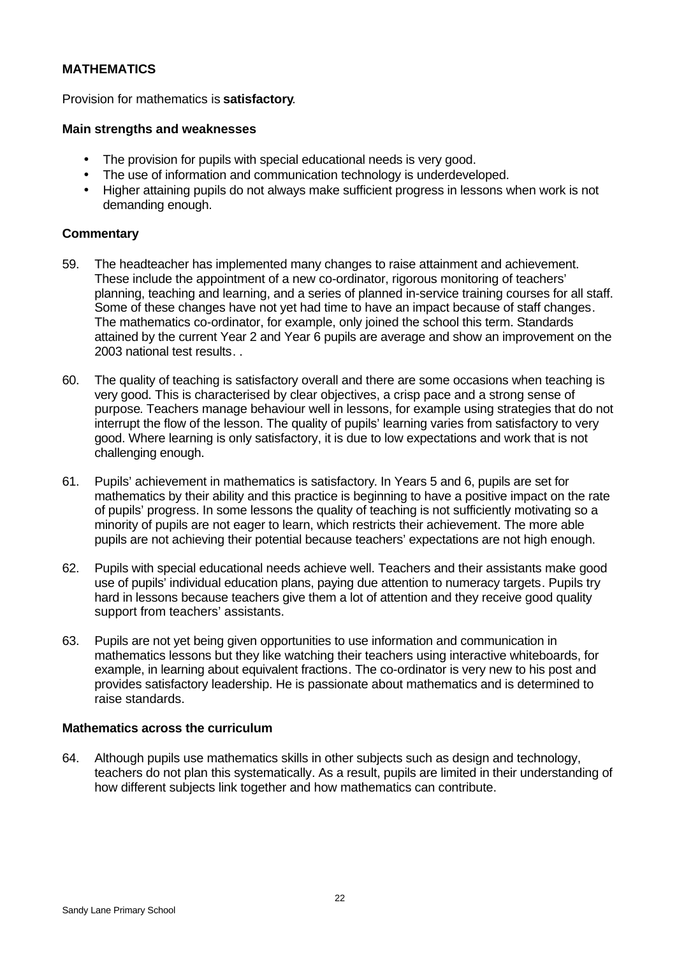## **MATHEMATICS**

Provision for mathematics is **satisfactory**.

#### **Main strengths and weaknesses**

- The provision for pupils with special educational needs is very good.
- The use of information and communication technology is underdeveloped.
- Higher attaining pupils do not always make sufficient progress in lessons when work is not demanding enough.

#### **Commentary**

- 59. The headteacher has implemented many changes to raise attainment and achievement. These include the appointment of a new co-ordinator, rigorous monitoring of teachers' planning, teaching and learning, and a series of planned in-service training courses for all staff. Some of these changes have not yet had time to have an impact because of staff changes. The mathematics co-ordinator, for example, only joined the school this term. Standards attained by the current Year 2 and Year 6 pupils are average and show an improvement on the 2003 national test results. .
- 60. The quality of teaching is satisfactory overall and there are some occasions when teaching is very good. This is characterised by clear objectives, a crisp pace and a strong sense of purpose. Teachers manage behaviour well in lessons, for example using strategies that do not interrupt the flow of the lesson. The quality of pupils' learning varies from satisfactory to very good. Where learning is only satisfactory, it is due to low expectations and work that is not challenging enough.
- 61. Pupils' achievement in mathematics is satisfactory. In Years 5 and 6, pupils are set for mathematics by their ability and this practice is beginning to have a positive impact on the rate of pupils' progress. In some lessons the quality of teaching is not sufficiently motivating so a minority of pupils are not eager to learn, which restricts their achievement. The more able pupils are not achieving their potential because teachers' expectations are not high enough.
- 62. Pupils with special educational needs achieve well. Teachers and their assistants make good use of pupils' individual education plans, paying due attention to numeracy targets. Pupils try hard in lessons because teachers give them a lot of attention and they receive good quality support from teachers' assistants.
- 63. Pupils are not yet being given opportunities to use information and communication in mathematics lessons but they like watching their teachers using interactive whiteboards, for example, in learning about equivalent fractions. The co-ordinator is very new to his post and provides satisfactory leadership. He is passionate about mathematics and is determined to raise standards.

#### **Mathematics across the curriculum**

64. Although pupils use mathematics skills in other subjects such as design and technology, teachers do not plan this systematically. As a result, pupils are limited in their understanding of how different subjects link together and how mathematics can contribute.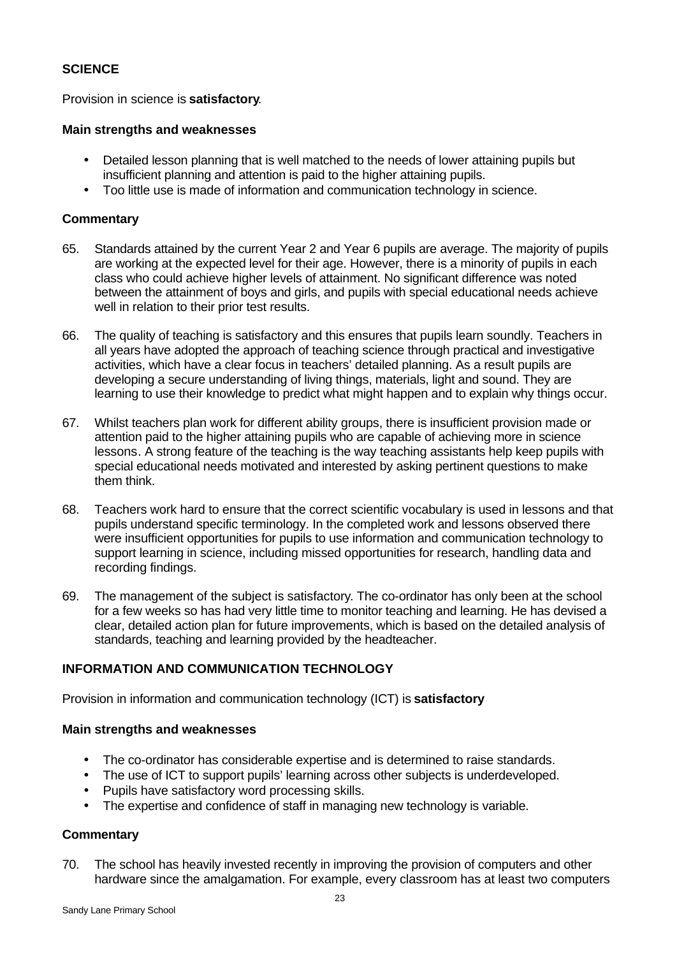### **SCIENCE**

Provision in science is **satisfactory**.

#### **Main strengths and weaknesses**

- Detailed lesson planning that is well matched to the needs of lower attaining pupils but insufficient planning and attention is paid to the higher attaining pupils.
- Too little use is made of information and communication technology in science.

#### **Commentary**

- 65. Standards attained by the current Year 2 and Year 6 pupils are average. The majority of pupils are working at the expected level for their age. However, there is a minority of pupils in each class who could achieve higher levels of attainment. No significant difference was noted between the attainment of boys and girls, and pupils with special educational needs achieve well in relation to their prior test results.
- 66. The quality of teaching is satisfactory and this ensures that pupils learn soundly. Teachers in all years have adopted the approach of teaching science through practical and investigative activities, which have a clear focus in teachers' detailed planning. As a result pupils are developing a secure understanding of living things, materials, light and sound. They are learning to use their knowledge to predict what might happen and to explain why things occur.
- 67. Whilst teachers plan work for different ability groups, there is insufficient provision made or attention paid to the higher attaining pupils who are capable of achieving more in science lessons. A strong feature of the teaching is the way teaching assistants help keep pupils with special educational needs motivated and interested by asking pertinent questions to make them think.
- 68. Teachers work hard to ensure that the correct scientific vocabulary is used in lessons and that pupils understand specific terminology. In the completed work and lessons observed there were insufficient opportunities for pupils to use information and communication technology to support learning in science, including missed opportunities for research, handling data and recording findings.
- 69. The management of the subject is satisfactory. The co-ordinator has only been at the school for a few weeks so has had very little time to monitor teaching and learning. He has devised a clear, detailed action plan for future improvements, which is based on the detailed analysis of standards, teaching and learning provided by the headteacher.

#### **INFORMATION AND COMMUNICATION TECHNOLOGY**

Provision in information and communication technology (ICT) is **satisfactory**

#### **Main strengths and weaknesses**

- The co-ordinator has considerable expertise and is determined to raise standards.
- The use of ICT to support pupils' learning across other subjects is underdeveloped.
- Pupils have satisfactory word processing skills.
- The expertise and confidence of staff in managing new technology is variable.

#### **Commentary**

70. The school has heavily invested recently in improving the provision of computers and other hardware since the amalgamation. For example, every classroom has at least two computers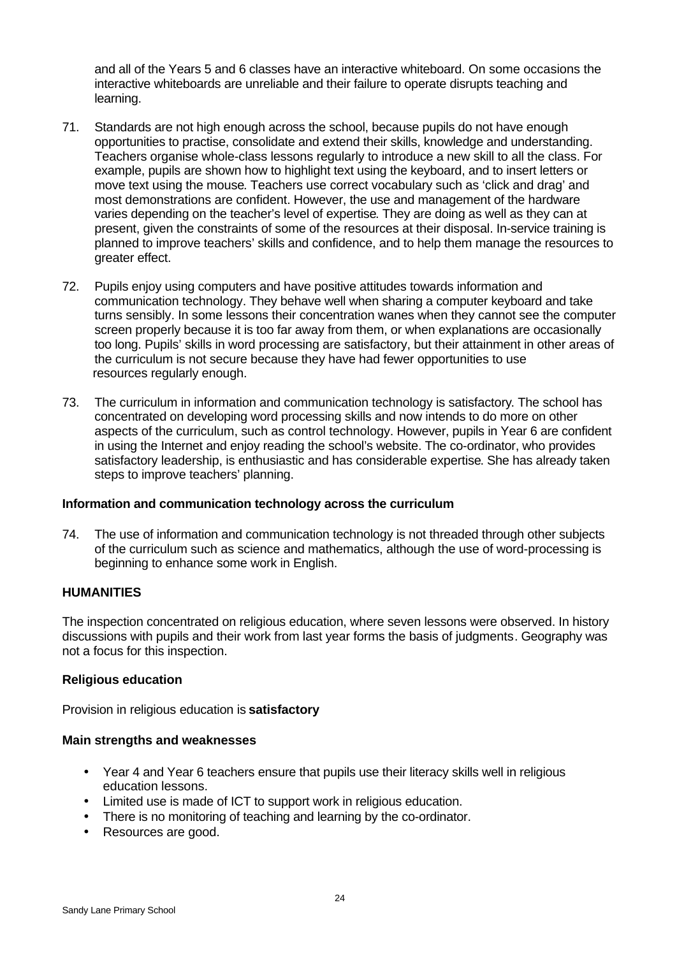and all of the Years 5 and 6 classes have an interactive whiteboard. On some occasions the interactive whiteboards are unreliable and their failure to operate disrupts teaching and learning.

- 71. Standards are not high enough across the school, because pupils do not have enough opportunities to practise, consolidate and extend their skills, knowledge and understanding. Teachers organise whole-class lessons regularly to introduce a new skill to all the class. For example, pupils are shown how to highlight text using the keyboard, and to insert letters or move text using the mouse. Teachers use correct vocabulary such as 'click and drag' and most demonstrations are confident. However, the use and management of the hardware varies depending on the teacher's level of expertise. They are doing as well as they can at present, given the constraints of some of the resources at their disposal. In-service training is planned to improve teachers' skills and confidence, and to help them manage the resources to greater effect.
- 72. Pupils enjoy using computers and have positive attitudes towards information and communication technology. They behave well when sharing a computer keyboard and take turns sensibly. In some lessons their concentration wanes when they cannot see the computer screen properly because it is too far away from them, or when explanations are occasionally too long. Pupils' skills in word processing are satisfactory, but their attainment in other areas of the curriculum is not secure because they have had fewer opportunities to use resources regularly enough.
- 73. The curriculum in information and communication technology is satisfactory. The school has concentrated on developing word processing skills and now intends to do more on other aspects of the curriculum, such as control technology. However, pupils in Year 6 are confident in using the Internet and enjoy reading the school's website. The co-ordinator, who provides satisfactory leadership, is enthusiastic and has considerable expertise. She has already taken steps to improve teachers' planning.

#### **Information and communication technology across the curriculum**

74. The use of information and communication technology is not threaded through other subjects of the curriculum such as science and mathematics, although the use of word-processing is beginning to enhance some work in English.

#### **HUMANITIES**

The inspection concentrated on religious education, where seven lessons were observed. In history discussions with pupils and their work from last year forms the basis of judgments. Geography was not a focus for this inspection.

#### **Religious education**

Provision in religious education is **satisfactory**

#### **Main strengths and weaknesses**

- Year 4 and Year 6 teachers ensure that pupils use their literacy skills well in religious education lessons.
- Limited use is made of ICT to support work in religious education.
- There is no monitoring of teaching and learning by the co-ordinator.
- Resources are good.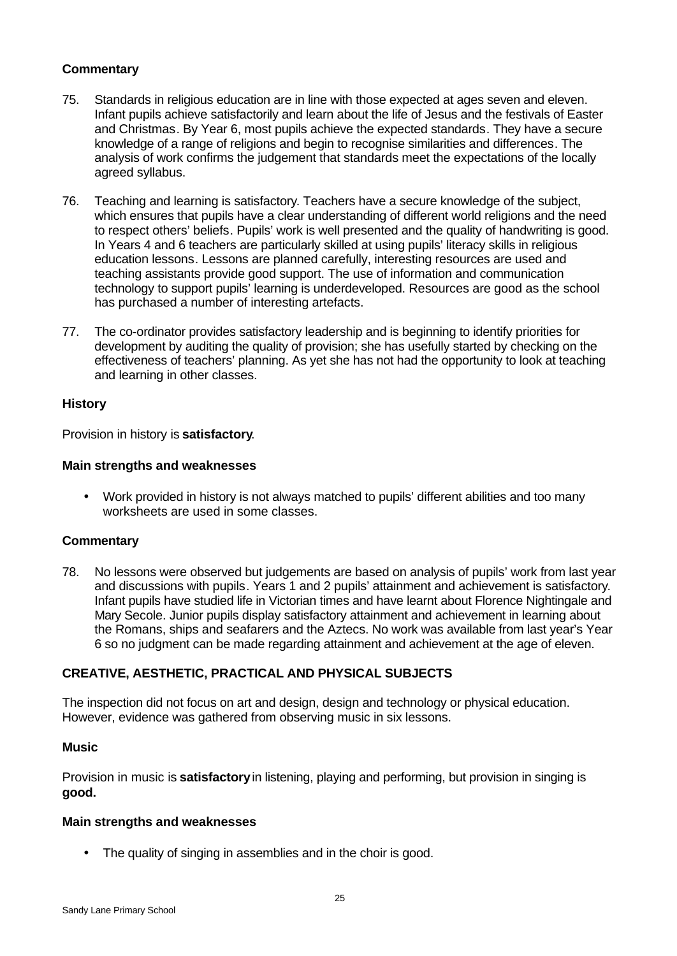## **Commentary**

- 75. Standards in religious education are in line with those expected at ages seven and eleven. Infant pupils achieve satisfactorily and learn about the life of Jesus and the festivals of Easter and Christmas. By Year 6, most pupils achieve the expected standards. They have a secure knowledge of a range of religions and begin to recognise similarities and differences. The analysis of work confirms the judgement that standards meet the expectations of the locally agreed syllabus.
- 76. Teaching and learning is satisfactory. Teachers have a secure knowledge of the subject, which ensures that pupils have a clear understanding of different world religions and the need to respect others' beliefs. Pupils' work is well presented and the quality of handwriting is good. In Years 4 and 6 teachers are particularly skilled at using pupils' literacy skills in religious education lessons. Lessons are planned carefully, interesting resources are used and teaching assistants provide good support. The use of information and communication technology to support pupils' learning is underdeveloped. Resources are good as the school has purchased a number of interesting artefacts.
- 77. The co-ordinator provides satisfactory leadership and is beginning to identify priorities for development by auditing the quality of provision; she has usefully started by checking on the effectiveness of teachers' planning. As yet she has not had the opportunity to look at teaching and learning in other classes.

## **History**

Provision in history is **satisfactory**.

#### **Main strengths and weaknesses**

• Work provided in history is not always matched to pupils' different abilities and too many worksheets are used in some classes.

#### **Commentary**

78. No lessons were observed but judgements are based on analysis of pupils' work from last year and discussions with pupils. Years 1 and 2 pupils' attainment and achievement is satisfactory. Infant pupils have studied life in Victorian times and have learnt about Florence Nightingale and Mary Secole. Junior pupils display satisfactory attainment and achievement in learning about the Romans, ships and seafarers and the Aztecs. No work was available from last year's Year 6 so no judgment can be made regarding attainment and achievement at the age of eleven.

#### **CREATIVE, AESTHETIC, PRACTICAL AND PHYSICAL SUBJECTS**

The inspection did not focus on art and design, design and technology or physical education. However, evidence was gathered from observing music in six lessons.

#### **Music**

Provision in music is **satisfactory** in listening, playing and performing, but provision in singing is **good.**

#### **Main strengths and weaknesses**

• The quality of singing in assemblies and in the choir is good.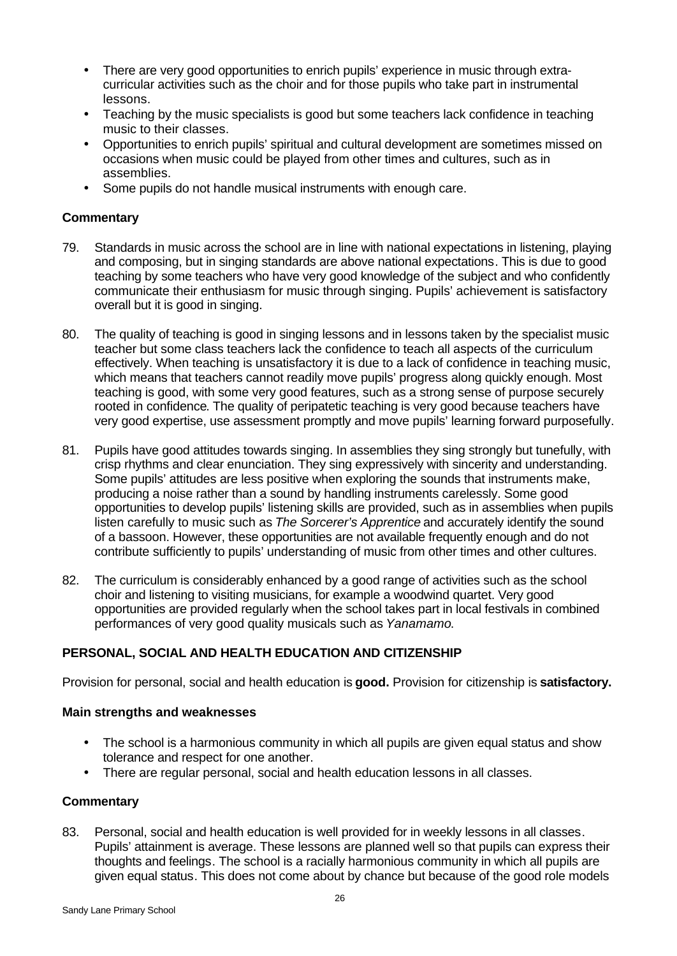- There are very good opportunities to enrich pupils' experience in music through extracurricular activities such as the choir and for those pupils who take part in instrumental lessons.
- Teaching by the music specialists is good but some teachers lack confidence in teaching music to their classes.
- Opportunities to enrich pupils' spiritual and cultural development are sometimes missed on occasions when music could be played from other times and cultures, such as in assemblies.
- Some pupils do not handle musical instruments with enough care.

#### **Commentary**

- 79. Standards in music across the school are in line with national expectations in listening, playing and composing, but in singing standards are above national expectations. This is due to good teaching by some teachers who have very good knowledge of the subject and who confidently communicate their enthusiasm for music through singing. Pupils' achievement is satisfactory overall but it is good in singing.
- 80. The quality of teaching is good in singing lessons and in lessons taken by the specialist music teacher but some class teachers lack the confidence to teach all aspects of the curriculum effectively. When teaching is unsatisfactory it is due to a lack of confidence in teaching music, which means that teachers cannot readily move pupils' progress along quickly enough. Most teaching is good, with some very good features, such as a strong sense of purpose securely rooted in confidence. The quality of peripatetic teaching is very good because teachers have very good expertise, use assessment promptly and move pupils' learning forward purposefully.
- 81. Pupils have good attitudes towards singing. In assemblies they sing strongly but tunefully, with crisp rhythms and clear enunciation. They sing expressively with sincerity and understanding. Some pupils' attitudes are less positive when exploring the sounds that instruments make, producing a noise rather than a sound by handling instruments carelessly. Some good opportunities to develop pupils' listening skills are provided, such as in assemblies when pupils listen carefully to music such as *The Sorcerer's Apprentice* and accurately identify the sound of a bassoon. However, these opportunities are not available frequently enough and do not contribute sufficiently to pupils' understanding of music from other times and other cultures.
- 82. The curriculum is considerably enhanced by a good range of activities such as the school choir and listening to visiting musicians, for example a woodwind quartet. Very good opportunities are provided regularly when the school takes part in local festivals in combined performances of very good quality musicals such as *Yanamamo*.

# **PERSONAL, SOCIAL AND HEALTH EDUCATION AND CITIZENSHIP**

Provision for personal, social and health education is **good.** Provision for citizenship is **satisfactory.**

#### **Main strengths and weaknesses**

- The school is a harmonious community in which all pupils are given equal status and show tolerance and respect for one another.
- There are regular personal, social and health education lessons in all classes.

#### **Commentary**

83. Personal, social and health education is well provided for in weekly lessons in all classes. Pupils' attainment is average. These lessons are planned well so that pupils can express their thoughts and feelings. The school is a racially harmonious community in which all pupils are given equal status. This does not come about by chance but because of the good role models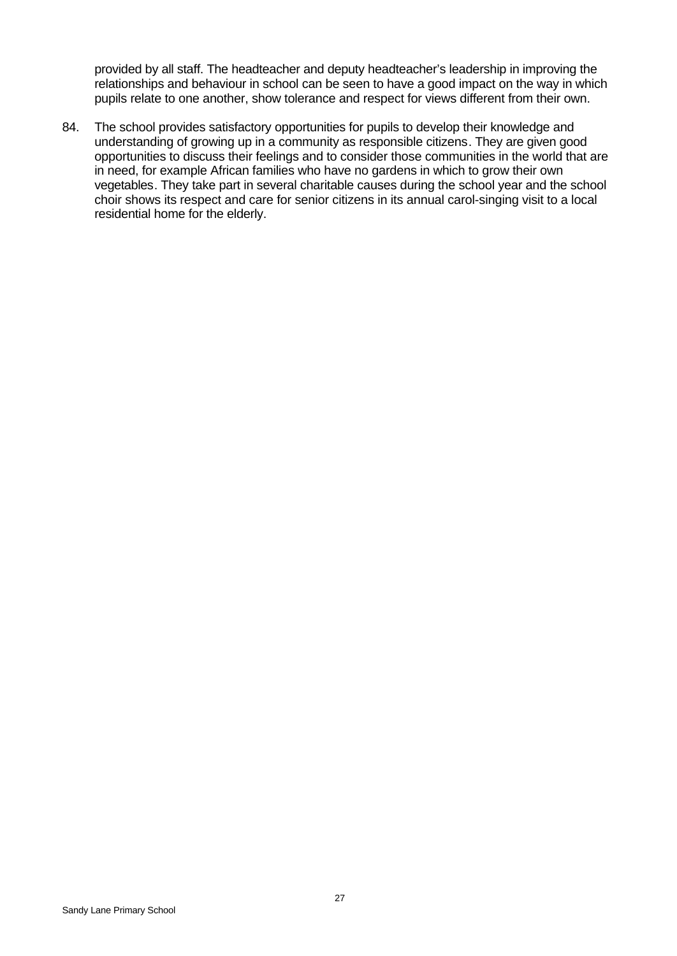provided by all staff. The headteacher and deputy headteacher's leadership in improving the relationships and behaviour in school can be seen to have a good impact on the way in which pupils relate to one another, show tolerance and respect for views different from their own.

84. The school provides satisfactory opportunities for pupils to develop their knowledge and understanding of growing up in a community as responsible citizens. They are given good opportunities to discuss their feelings and to consider those communities in the world that are in need, for example African families who have no gardens in which to grow their own vegetables. They take part in several charitable causes during the school year and the school choir shows its respect and care for senior citizens in its annual carol-singing visit to a local residential home for the elderly.